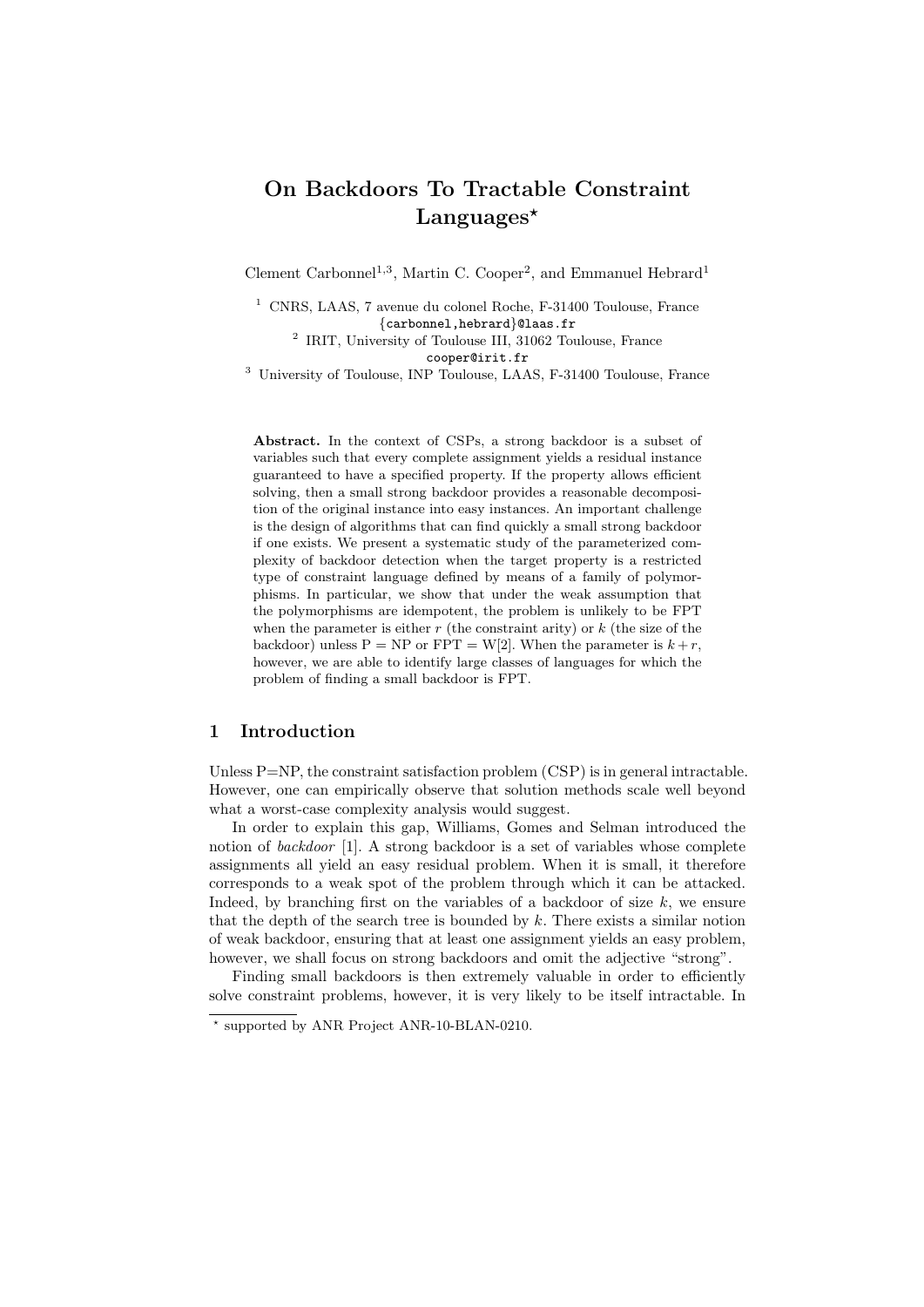# On Backdoors To Tractable Constraint Languages $*$

Clement Carbonnel<sup>1,3</sup>, Martin C. Cooper<sup>2</sup>, and Emmanuel Hebrard<sup>1</sup>

<sup>1</sup> CNRS, LAAS, 7 avenue du colonel Roche, F-31400 Toulouse, France {carbonnel,hebrard}@laas.fr

2 IRIT, University of Toulouse III, 31062 Toulouse, France cooper@irit.fr

<sup>3</sup> University of Toulouse, INP Toulouse, LAAS, F-31400 Toulouse, France

Abstract. In the context of CSPs, a strong backdoor is a subset of variables such that every complete assignment yields a residual instance guaranteed to have a specified property. If the property allows efficient solving, then a small strong backdoor provides a reasonable decomposition of the original instance into easy instances. An important challenge is the design of algorithms that can find quickly a small strong backdoor if one exists. We present a systematic study of the parameterized complexity of backdoor detection when the target property is a restricted type of constraint language defined by means of a family of polymorphisms. In particular, we show that under the weak assumption that the polymorphisms are idempotent, the problem is unlikely to be FPT when the parameter is either  $r$  (the constraint arity) or  $k$  (the size of the backdoor) unless  $P = NP$  or  $FPT = W[2]$ . When the parameter is  $k + r$ , however, we are able to identify large classes of languages for which the problem of finding a small backdoor is FPT.

# 1 Introduction

Unless P=NP, the constraint satisfaction problem (CSP) is in general intractable. However, one can empirically observe that solution methods scale well beyond what a worst-case complexity analysis would suggest.

In order to explain this gap, Williams, Gomes and Selman introduced the notion of *backdoor* [1]. A strong backdoor is a set of variables whose complete assignments all yield an easy residual problem. When it is small, it therefore corresponds to a weak spot of the problem through which it can be attacked. Indeed, by branching first on the variables of a backdoor of size  $k$ , we ensure that the depth of the search tree is bounded by  $k$ . There exists a similar notion of weak backdoor, ensuring that at least one assignment yields an easy problem, however, we shall focus on strong backdoors and omit the adjective "strong".

Finding small backdoors is then extremely valuable in order to efficiently solve constraint problems, however, it is very likely to be itself intractable. In

<sup>?</sup> supported by ANR Project ANR-10-BLAN-0210.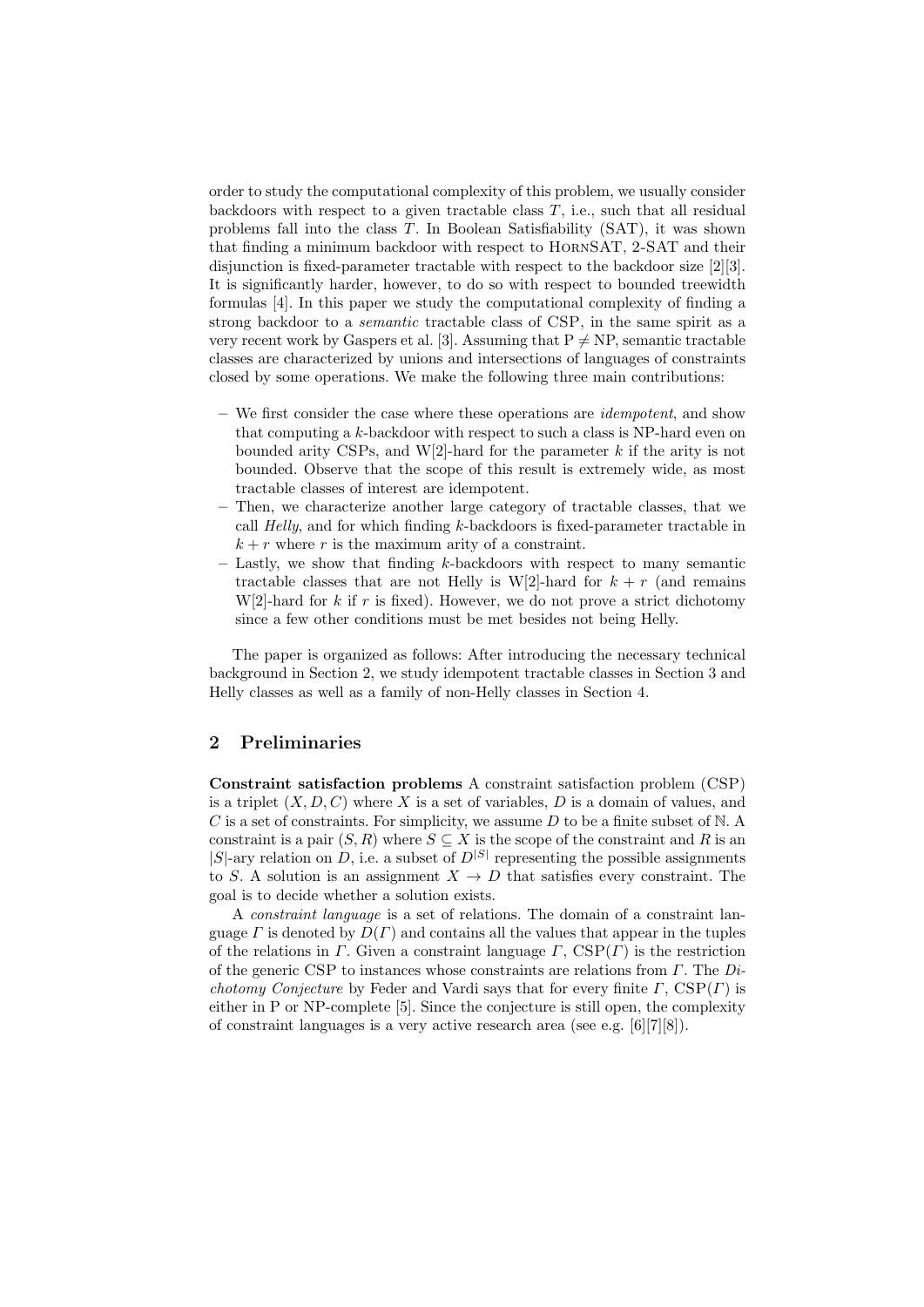order to study the computational complexity of this problem, we usually consider backdoors with respect to a given tractable class  $T$ , i.e., such that all residual problems fall into the class T. In Boolean Satisfiability (SAT), it was shown that finding a minimum backdoor with respect to HornSAT, 2-SAT and their disjunction is fixed-parameter tractable with respect to the backdoor size [2][3]. It is significantly harder, however, to do so with respect to bounded treewidth formulas [4]. In this paper we study the computational complexity of finding a strong backdoor to a *semantic* tractable class of CSP, in the same spirit as a very recent work by Gaspers et al. [3]. Assuming that  $P \neq NP$ , semantic tractable classes are characterized by unions and intersections of languages of constraints closed by some operations. We make the following three main contributions:

- $-$  We first consider the case where these operations are *idempotent*, and show that computing a  $k$ -backdoor with respect to such a class is NP-hard even on bounded arity CSPs, and W[2]-hard for the parameter  $k$  if the arity is not bounded. Observe that the scope of this result is extremely wide, as most tractable classes of interest are idempotent.
- Then, we characterize another large category of tractable classes, that we call Helly, and for which finding k-backdoors is fixed-parameter tractable in  $k + r$  where r is the maximum arity of a constraint.
- $-$  Lastly, we show that finding  $k$ -backdoors with respect to many semantic tractable classes that are not Helly is W[2]-hard for  $k + r$  (and remains W[2]-hard for  $k$  if  $r$  is fixed). However, we do not prove a strict dichotomy since a few other conditions must be met besides not being Helly.

The paper is organized as follows: After introducing the necessary technical background in Section 2, we study idempotent tractable classes in Section 3 and Helly classes as well as a family of non-Helly classes in Section 4.

## 2 Preliminaries

Constraint satisfaction problems A constraint satisfaction problem (CSP) is a triplet  $(X, D, C)$  where X is a set of variables, D is a domain of values, and  $C$  is a set of constraints. For simplicity, we assume  $D$  to be a finite subset of N. A constraint is a pair  $(S, R)$  where  $S \subseteq X$  is the scope of the constraint and R is an  $|S|$ -ary relation on D, i.e. a subset of  $D^{|S|}$  representing the possible assignments to S. A solution is an assignment  $X \to D$  that satisfies every constraint. The goal is to decide whether a solution exists.

A constraint language is a set of relations. The domain of a constraint language  $\Gamma$  is denoted by  $D(\Gamma)$  and contains all the values that appear in the tuples of the relations in  $\Gamma$ . Given a constraint language  $\Gamma$ ,  $CSP(\Gamma)$  is the restriction of the generic CSP to instances whose constraints are relations from Γ. The Di*chotomy Conjecture* by Feder and Vardi says that for every finite  $\Gamma$ ,  $CSP(\Gamma)$  is either in P or NP-complete [5]. Since the conjecture is still open, the complexity of constraint languages is a very active research area (see e.g. [6][7][8]).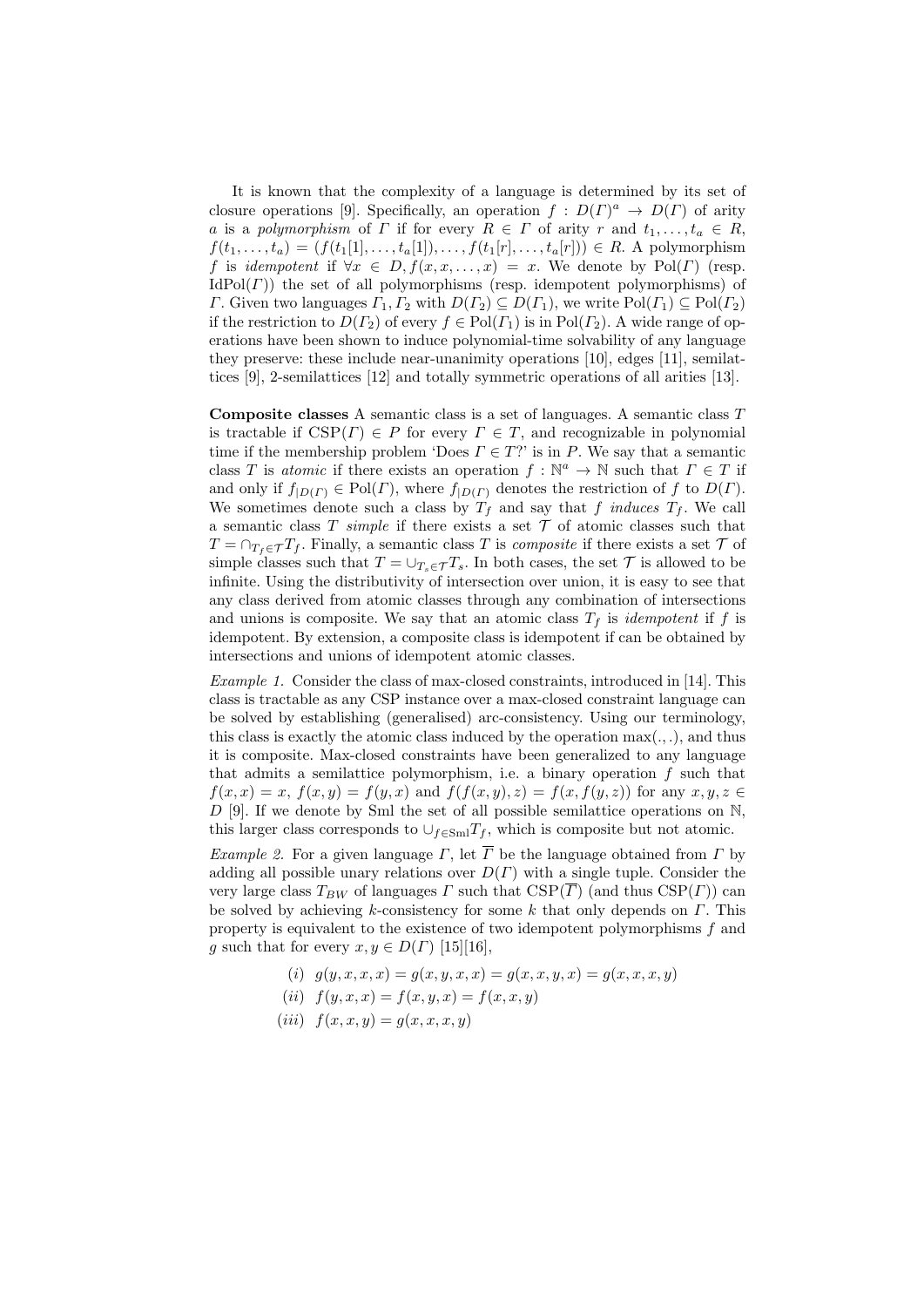It is known that the complexity of a language is determined by its set of closure operations [9]. Specifically, an operation  $f: D(\Gamma)^a \to D(\Gamma)$  of arity a is a polymorphism of  $\Gamma$  if for every  $R \in \Gamma$  of arity  $r$  and  $t_1, \ldots, t_a \in R$ ,  $f(t_1,..., t_a) = (f(t_1[1],..., t_a[1]),..., f(t_1[r],..., t_a[r])) \in R$ . A polymorphism f is idempotent if  $\forall x \in D, f(x, x, \ldots, x) = x$ . We denote by Pol(T) (resp.  $IdPol(\Gamma)$  the set of all polymorphisms (resp. idempotent polymorphisms) of Γ. Given two languages  $\Gamma_1, \Gamma_2$  with  $D(\Gamma_2) \subseteq D(\Gamma_1)$ , we write  $Pol(\Gamma_1) \subseteq Pol(\Gamma_2)$ if the restriction to  $D(\Gamma_2)$  of every  $f \in Pol(\Gamma_1)$  is in  $Pol(\Gamma_2)$ . A wide range of operations have been shown to induce polynomial-time solvability of any language they preserve: these include near-unanimity operations [10], edges [11], semilattices [9], 2-semilattices [12] and totally symmetric operations of all arities [13].

**Composite classes** A semantic class is a set of languages. A semantic class  $T$ is tractable if  $CSP(\Gamma) \in P$  for every  $\Gamma \in T$ , and recognizable in polynomial time if the membership problem 'Does  $\Gamma \in T$ ?' is in P. We say that a semantic class T is *atomic* if there exists an operation  $f : \mathbb{N}^a \to \mathbb{N}$  such that  $\Gamma \in T$  if and only if  $f|_{D(\Gamma)} \in Pol(\Gamma)$ , where  $f|_{D(\Gamma)}$  denotes the restriction of f to  $D(\Gamma)$ . We sometimes denote such a class by  $T_f$  and say that f induces  $T_f$ . We call a semantic class  $T \, simple$  if there exists a set  $T$  of atomic classes such that  $T = \bigcap_{T \in \mathcal{T}} T_f$ . Finally, a semantic class T is *composite* if there exists a set T of simple classes such that  $T = \bigcup_{T_s \in \mathcal{T}} T_s$ . In both cases, the set  $\mathcal{T}$  is allowed to be infinite. Using the distributivity of intersection over union, it is easy to see that any class derived from atomic classes through any combination of intersections and unions is composite. We say that an atomic class  $T_f$  is *idempotent* if f is idempotent. By extension, a composite class is idempotent if can be obtained by intersections and unions of idempotent atomic classes.

Example 1. Consider the class of max-closed constraints, introduced in [14]. This class is tractable as any CSP instance over a max-closed constraint language can be solved by establishing (generalised) arc-consistency. Using our terminology, this class is exactly the atomic class induced by the operation  $\max(\ldots)$ , and thus it is composite. Max-closed constraints have been generalized to any language that admits a semilattice polymorphism, i.e. a binary operation  $f$  such that  $f(x, x) = x$ ,  $f(x, y) = f(y, x)$  and  $f(f(x, y), z) = f(x, f(y, z))$  for any  $x, y, z \in$  $D$  [9]. If we denote by Sml the set of all possible semilattice operations on  $\mathbb{N}$ , this larger class corresponds to  $\cup_{f \in \text{Sm}} T_f$ , which is composite but not atomic.

*Example 2.* For a given language  $\Gamma$ , let  $\overline{\Gamma}$  be the language obtained from  $\Gamma$  by adding all possible unary relations over  $D(\Gamma)$  with a single tuple. Consider the very large class  $T_{BW}$  of languages  $\Gamma$  such that  $CSP(\overline{\Gamma})$  (and thus  $CSP(\Gamma)$ ) can be solved by achieving k-consistency for some k that only depends on  $\Gamma$ . This property is equivalent to the existence of two idempotent polymorphisms f and g such that for every  $x, y \in D(\Gamma)$  [15][16],

$$
(i) \ \ g(y, x, x, x) = g(x, y, x, x) = g(x, x, y, x) = g(x, x, x, y)
$$

(*ii*) 
$$
f(y, x, x) = f(x, y, x) = f(x, x, y)
$$

(*iii*)  $f(x, x, y) = g(x, x, x, y)$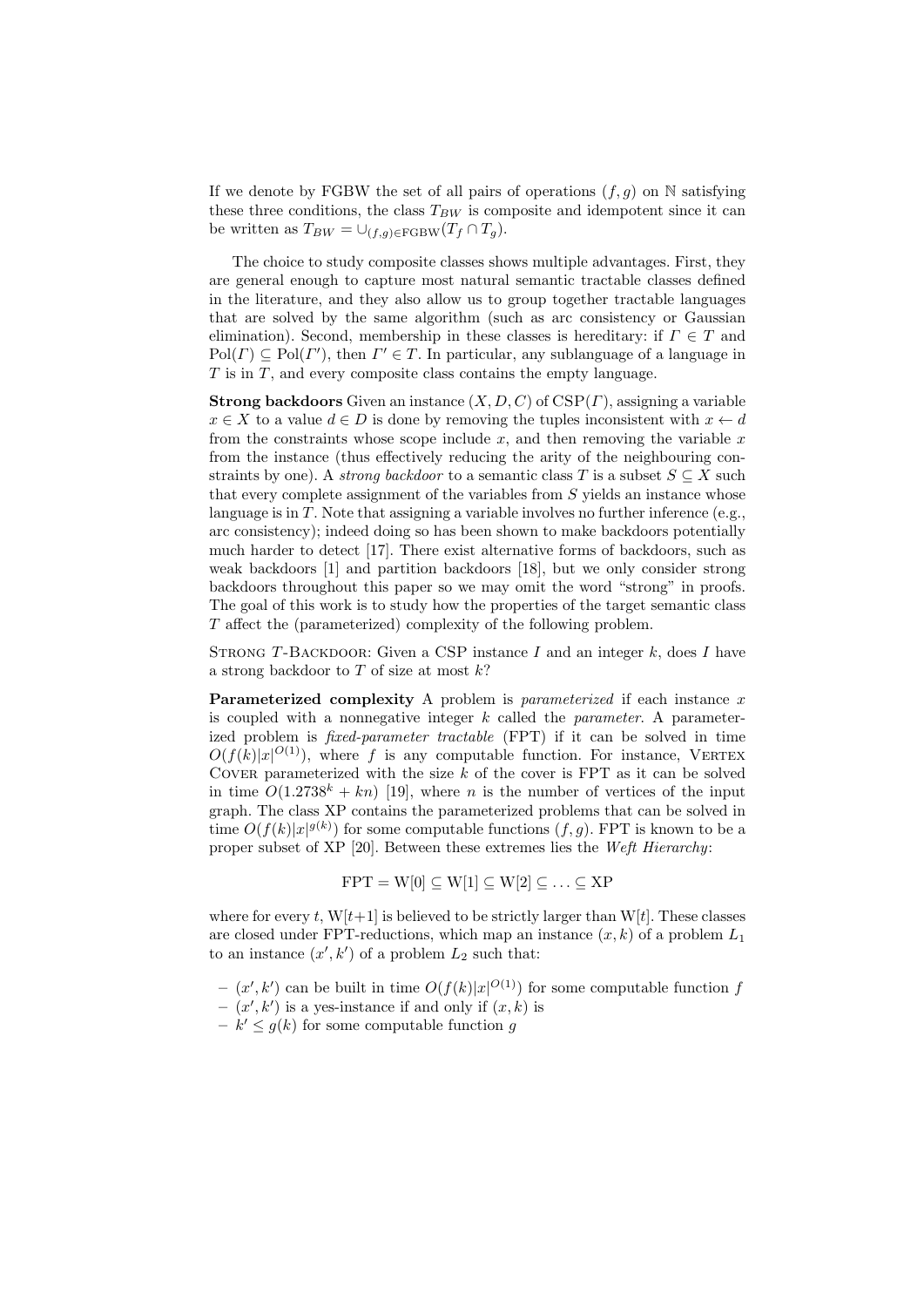If we denote by FGBW the set of all pairs of operations  $(f, g)$  on N satisfying these three conditions, the class  $T_{BW}$  is composite and idempotent since it can be written as  $T_{BW} = \bigcup_{(f,q)\in \text{FGBW}} (T_f \cap T_q).$ 

The choice to study composite classes shows multiple advantages. First, they are general enough to capture most natural semantic tractable classes defined in the literature, and they also allow us to group together tractable languages that are solved by the same algorithm (such as arc consistency or Gaussian elimination). Second, membership in these classes is hereditary: if  $\Gamma \in T$  and  $Pol(\Gamma) \subseteq Pol(\Gamma')$ , then  $\Gamma' \in T$ . In particular, any sublanguage of a language in T is in T, and every composite class contains the empty language.

**Strong backdoors** Given an instance  $(X, D, C)$  of  $CSP(\Gamma)$ , assigning a variable  $x \in X$  to a value  $d \in D$  is done by removing the tuples inconsistent with  $x \leftarrow d$ from the constraints whose scope include x, and then removing the variable  $x$ from the instance (thus effectively reducing the arity of the neighbouring constraints by one). A *strong backdoor* to a semantic class T is a subset  $S \subseteq X$  such that every complete assignment of the variables from  $S$  yields an instance whose language is in  $T$ . Note that assigning a variable involves no further inference (e.g., arc consistency); indeed doing so has been shown to make backdoors potentially much harder to detect [17]. There exist alternative forms of backdoors, such as weak backdoors [1] and partition backdoors [18], but we only consider strong backdoors throughout this paper so we may omit the word "strong" in proofs. The goal of this work is to study how the properties of the target semantic class T affect the (parameterized) complexity of the following problem.

STRONG T-BACKDOOR: Given a CSP instance I and an integer  $k$ , does I have a strong backdoor to  $T$  of size at most  $k$ ?

Parameterized complexity A problem is *parameterized* if each instance  $x$ is coupled with a nonnegative integer  $k$  called the *parameter*. A parameterized problem is fixed-parameter tractable (FPT) if it can be solved in time  $O(f(k)|x|^{O(1)})$ , where f is any computable function. For instance, VERTEX COVER parameterized with the size  $k$  of the cover is FPT as it can be solved in time  $O(1.2738^k + kn)$  [19], where *n* is the number of vertices of the input graph. The class XP contains the parameterized problems that can be solved in time  $O(f(k)|x|^{g(k)})$  for some computable functions  $(f, g)$ . FPT is known to be a proper subset of XP [20]. Between these extremes lies the Weft Hierarchy:

$$
FPT = W[0] \subseteq W[1] \subseteq W[2] \subseteq \ldots \subseteq XP
$$

where for every t,  $W[t+1]$  is believed to be strictly larger than  $W[t]$ . These classes are closed under FPT-reductions, which map an instance  $(x, k)$  of a problem  $L_1$ to an instance  $(x', k')$  of a problem  $L_2$  such that:

- $(x', k')$  can be built in time  $O(f(k)|x|^{O(1)})$  for some computable function f
- $(x', k')$  is a yes-instance if and only if  $(x, k)$  is
- $k' \leq g(k)$  for some computable function g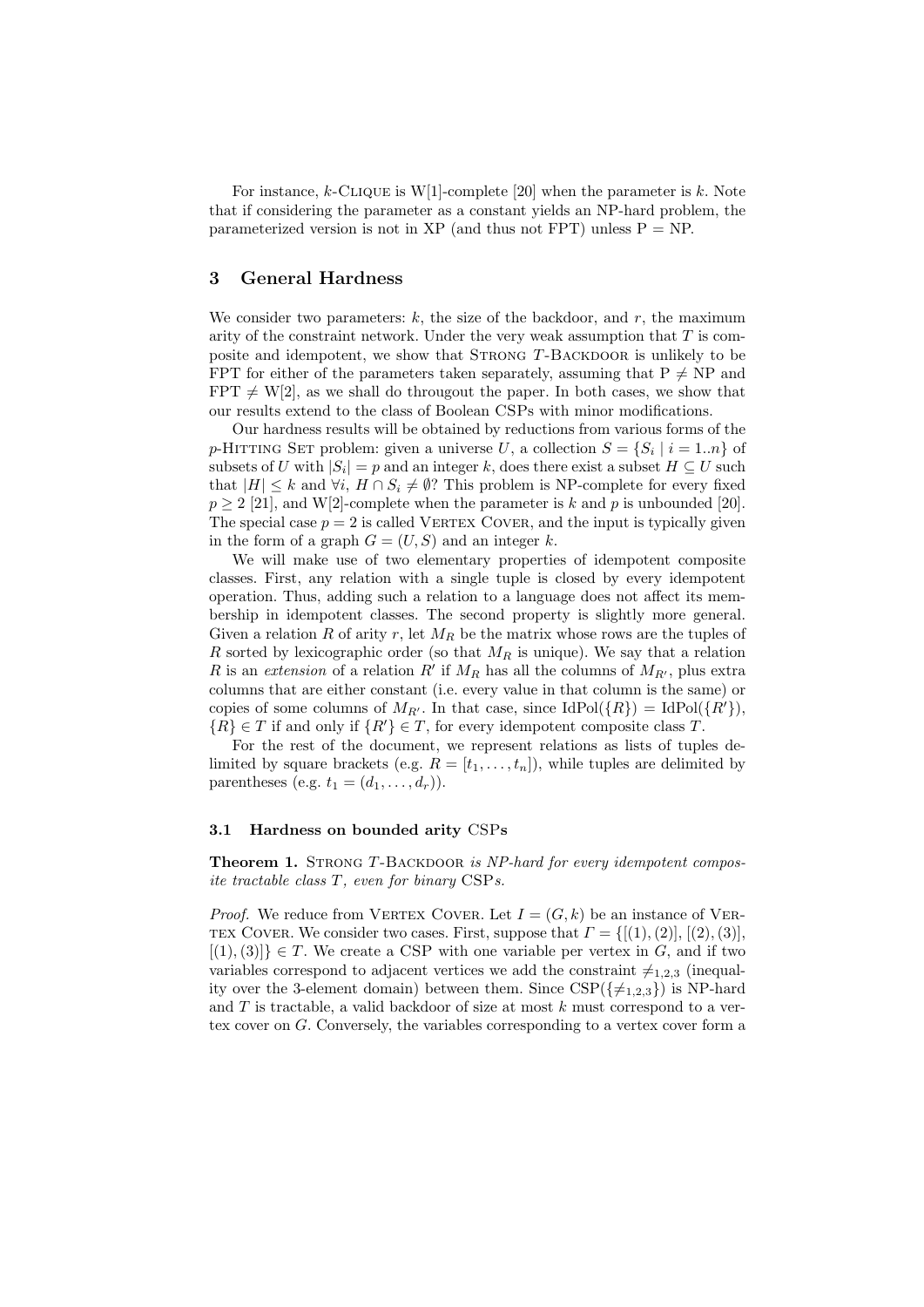For instance, k-CLIQUE is W[1]-complete [20] when the parameter is k. Note that if considering the parameter as a constant yields an NP-hard problem, the parameterized version is not in XP (and thus not FPT) unless  $P = NP$ .

# 3 General Hardness

We consider two parameters:  $k$ , the size of the backdoor, and r, the maximum arity of the constraint network. Under the very weak assumption that  $T$  is composite and idempotent, we show that  $STRONG$   $T-BACKDOOR$  is unlikely to be FPT for either of the parameters taken separately, assuming that  $P \neq NP$  and  $FPT \neq W[2]$ , as we shall do througout the paper. In both cases, we show that our results extend to the class of Boolean CSPs with minor modifications.

Our hardness results will be obtained by reductions from various forms of the p-HITTING SET problem: given a universe U, a collection  $S = \{S_i | i = 1..n\}$  of subsets of U with  $|S_i| = p$  and an integer k, does there exist a subset  $H \subseteq U$  such that  $|H| \leq k$  and  $\forall i, H \cap S_i \neq \emptyset$ ? This problem is NP-complete for every fixed  $p \geq 2$  [21], and W[2]-complete when the parameter is k and p is unbounded [20]. The special case  $p = 2$  is called VERTEX COVER, and the input is typically given in the form of a graph  $G = (U, S)$  and an integer k.

We will make use of two elementary properties of idempotent composite classes. First, any relation with a single tuple is closed by every idempotent operation. Thus, adding such a relation to a language does not affect its membership in idempotent classes. The second property is slightly more general. Given a relation R of arity r, let  $M_R$  be the matrix whose rows are the tuples of R sorted by lexicographic order (so that  $M_R$  is unique). We say that a relation R is an extension of a relation R' if  $M_R$  has all the columns of  $M_{R'}$ , plus extra columns that are either constant (i.e. every value in that column is the same) or copies of some columns of  $M_{R'}$ . In that case, since IdPol( $\{R\}\$ ) = IdPol( $\{R'\}\$ ),  ${R} \in T$  if and only if  ${R'} \in T$ , for every idempotent composite class T.

For the rest of the document, we represent relations as lists of tuples delimited by square brackets (e.g.  $R = [t_1, \ldots, t_n]$ ), while tuples are delimited by parentheses (e.g.  $t_1 = (d_1, \ldots, d_r)$ ).

### 3.1 Hardness on bounded arity CSPs

**Theorem 1.** STRONG T-BACKDOOR is NP-hard for every idempotent composite tractable class T, even for binary CSPs.

*Proof.* We reduce from VERTEX COVER. Let  $I = (G, k)$  be an instance of VER-TEX COVER. We consider two cases. First, suppose that  $\Gamma = \{[(1), (2)], [(2), (3)],$  $[(1),(3)]\}\in T$ . We create a CSP with one variable per vertex in G, and if two variables correspond to adjacent vertices we add the constraint  $\neq_{1,2,3}$  (inequality over the 3-element domain) between them. Since  $CSP(\{\neq_{1,2,3}\})$  is NP-hard and  $T$  is tractable, a valid backdoor of size at most  $k$  must correspond to a vertex cover on G. Conversely, the variables corresponding to a vertex cover form a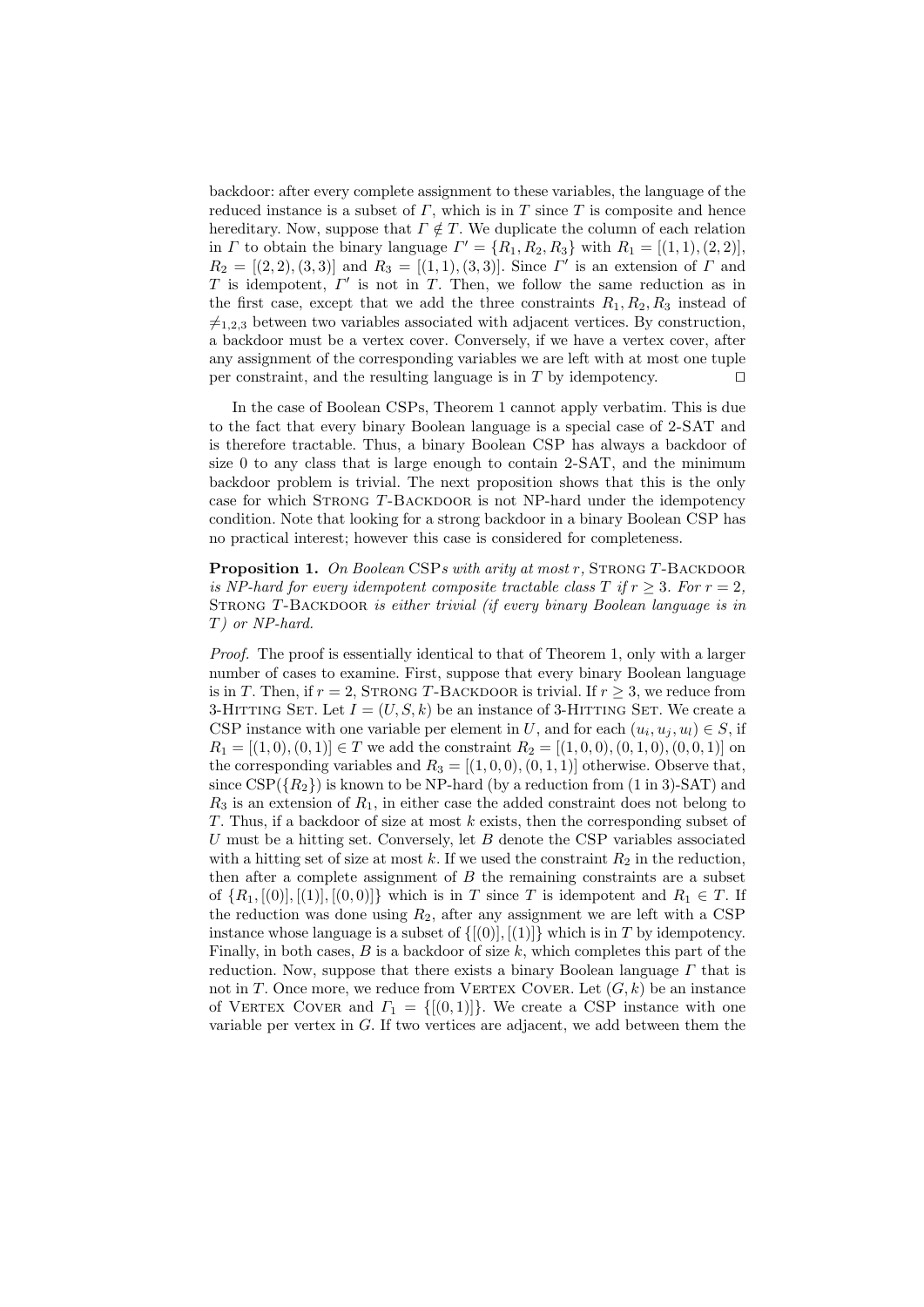backdoor: after every complete assignment to these variables, the language of the reduced instance is a subset of  $\Gamma$ , which is in  $T$  since  $T$  is composite and hence hereditary. Now, suppose that  $\Gamma \notin T$ . We duplicate the column of each relation in  $\Gamma$  to obtain the binary language  $\Gamma' = \{R_1, R_2, R_3\}$  with  $R_1 = [(1, 1), (2, 2)],$  $R_2 = [(2, 2), (3, 3)]$  and  $R_3 = [(1, 1), (3, 3)]$ . Since  $\Gamma'$  is an extension of  $\Gamma$  and T is idempotent,  $\Gamma'$  is not in T. Then, we follow the same reduction as in the first case, except that we add the three constraints  $R_1, R_2, R_3$  instead of  $\neq$ <sub>1,2,3</sub> between two variables associated with adjacent vertices. By construction, a backdoor must be a vertex cover. Conversely, if we have a vertex cover, after any assignment of the corresponding variables we are left with at most one tuple per constraint, and the resulting language is in T by idempotency.  $\Box$ 

In the case of Boolean CSPs, Theorem 1 cannot apply verbatim. This is due to the fact that every binary Boolean language is a special case of 2-SAT and is therefore tractable. Thus, a binary Boolean CSP has always a backdoor of size 0 to any class that is large enough to contain 2-SAT, and the minimum backdoor problem is trivial. The next proposition shows that this is the only case for which STRONG  $T$ -BACKDOOR is not NP-hard under the idempotency condition. Note that looking for a strong backdoor in a binary Boolean CSP has no practical interest; however this case is considered for completeness.

**Proposition 1.** On Boolean CSPs with arity at most  $r$ , STRONG T-BACKDOOR is NP-hard for every idempotent composite tractable class T if  $r > 3$ . For  $r = 2$ , STRONG T-BACKDOOR is either trivial (if every binary Boolean language is in T) or NP-hard.

Proof. The proof is essentially identical to that of Theorem 1, only with a larger number of cases to examine. First, suppose that every binary Boolean language is in T. Then, if  $r = 2$ , STRONG T-BACKDOOR is trivial. If  $r > 3$ , we reduce from 3-HITTING SET. Let  $I = (U, S, k)$  be an instance of 3-HITTING SET. We create a CSP instance with one variable per element in U, and for each  $(u_i, u_j, u_l) \in S$ , if  $R_1 = [(1, 0), (0, 1)] \in T$  we add the constraint  $R_2 = [(1, 0, 0), (0, 1, 0), (0, 0, 1)]$  on the corresponding variables and  $R_3 = [(1, 0, 0), (0, 1, 1)]$  otherwise. Observe that, since  $CSP(\lbrace R_2 \rbrace)$  is known to be NP-hard (by a reduction from  $(1 \text{ in } 3)$ -SAT) and  $R_3$  is an extension of  $R_1$ , in either case the added constraint does not belong to T. Thus, if a backdoor of size at most  $k$  exists, then the corresponding subset of  $U$  must be a hitting set. Conversely, let  $B$  denote the CSP variables associated with a hitting set of size at most k. If we used the constraint  $R_2$  in the reduction, then after a complete assignment of  $B$  the remaining constraints are a subset of  $\{R_1, [(0), [(1), [(0, 0)]\}$  which is in T since T is idempotent and  $R_1 \in T$ . If the reduction was done using  $R_2$ , after any assignment we are left with a CSP instance whose language is a subset of  $\{[(0)], [(1)]\}$  which is in T by idempotency. Finally, in both cases,  $B$  is a backdoor of size  $k$ , which completes this part of the reduction. Now, suppose that there exists a binary Boolean language  $\Gamma$  that is not in T. Once more, we reduce from VERTEX COVER. Let  $(G, k)$  be an instance of VERTEX COVER and  $\Gamma_1 = \{[(0,1)]\}$ . We create a CSP instance with one variable per vertex in  $G$ . If two vertices are adjacent, we add between them the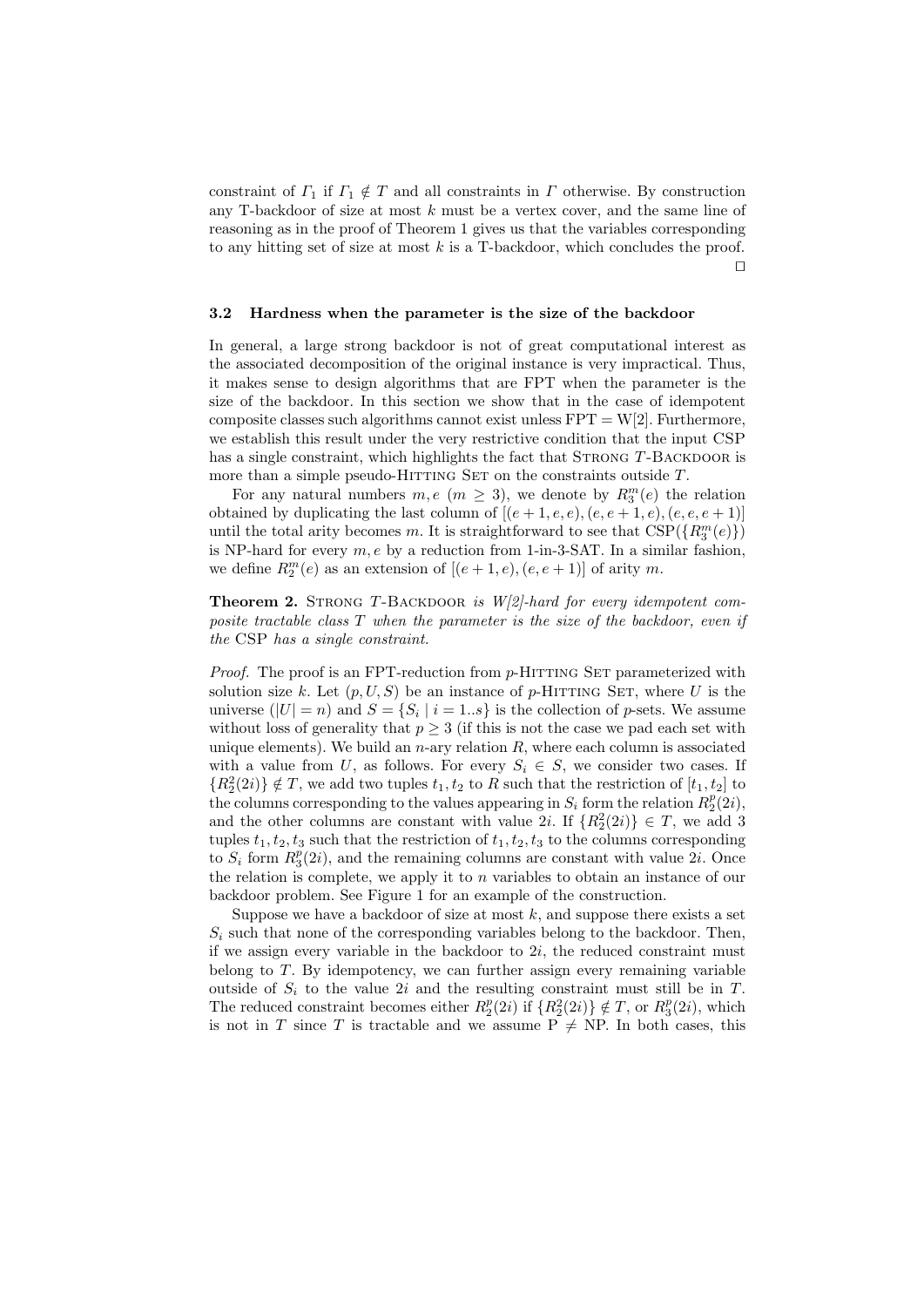constraint of  $\Gamma_1$  if  $\Gamma_1 \notin T$  and all constraints in  $\Gamma$  otherwise. By construction any T-backdoor of size at most  $k$  must be a vertex cover, and the same line of reasoning as in the proof of Theorem 1 gives us that the variables corresponding to any hitting set of size at most  $k$  is a T-backdoor, which concludes the proof.  $\Box$ 

#### 3.2 Hardness when the parameter is the size of the backdoor

In general, a large strong backdoor is not of great computational interest as the associated decomposition of the original instance is very impractical. Thus, it makes sense to design algorithms that are FPT when the parameter is the size of the backdoor. In this section we show that in the case of idempotent composite classes such algorithms cannot exist unless  $FPT = W[2]$ . Furthermore, we establish this result under the very restrictive condition that the input CSP has a single constraint, which highlights the fact that  $S_{TRONG}$   $T-BACKDOOR$  is more than a simple pseudo-HITTING SET on the constraints outside  $T$ .

For any natural numbers  $m, e \ (m \geq 3)$ , we denote by  $R_3^m(e)$  the relation obtained by duplicating the last column of  $[(e+1, e, e), (e, e+1, e), (e, e, e+1)]$ until the total arity becomes m. It is straightforward to see that  $CSP(\lbrace R_3^m(e) \rbrace)$ is NP-hard for every  $m, e$  by a reduction from 1-in-3-SAT. In a similar fashion, we define  $R_2^m(e)$  as an extension of  $[(e+1, e), (e, e+1)]$  of arity m.

Theorem 2. STRONG T-BACKDOOR is  $W[2]$ -hard for every idempotent composite tractable class T when the parameter is the size of the backdoor, even if the CSP has a single constraint.

*Proof.* The proof is an FPT-reduction from  $p$ -HITTING SET parameterized with solution size k. Let  $(p, U, S)$  be an instance of p-HITTING SET, where U is the universe  $(|U| = n)$  and  $S = \{S_i \mid i = 1..s\}$  is the collection of p-sets. We assume without loss of generality that  $p \geq 3$  (if this is not the case we pad each set with unique elements). We build an  $n$ -ary relation  $R$ , where each column is associated with a value from U, as follows. For every  $S_i \in S$ , we consider two cases. If  ${R_2^2(2i)} \notin T$ , we add two tuples  $t_1, t_2$  to R such that the restriction of  $[t_1, t_2]$  to the columns corresponding to the values appearing in  $S_i$  form the relation  $R_2^p(2i)$ , and the other columns are constant with value 2*i*. If  $\{R_2^2(2i)\}\in\mathcal{T}$ , we add 3 tuples  $t_1, t_2, t_3$  such that the restriction of  $t_1, t_2, t_3$  to the columns corresponding to  $S_i$  form  $R_3^p(2i)$ , and the remaining columns are constant with value 2*i*. Once the relation is complete, we apply it to  $n$  variables to obtain an instance of our backdoor problem. See Figure 1 for an example of the construction.

Suppose we have a backdoor of size at most  $k$ , and suppose there exists a set  $S_i$  such that none of the corresponding variables belong to the backdoor. Then, if we assign every variable in the backdoor to  $2i$ , the reduced constraint must belong to  $T$ . By idempotency, we can further assign every remaining variable outside of  $S_i$  to the value 2i and the resulting constraint must still be in T. The reduced constraint becomes either  $R_2^p(2i)$  if  $\{R_2^2(2i)\}\notin \mathcal{T}$ , or  $R_3^p(2i)$ , which is not in T since T is tractable and we assume  $P \neq NP$ . In both cases, this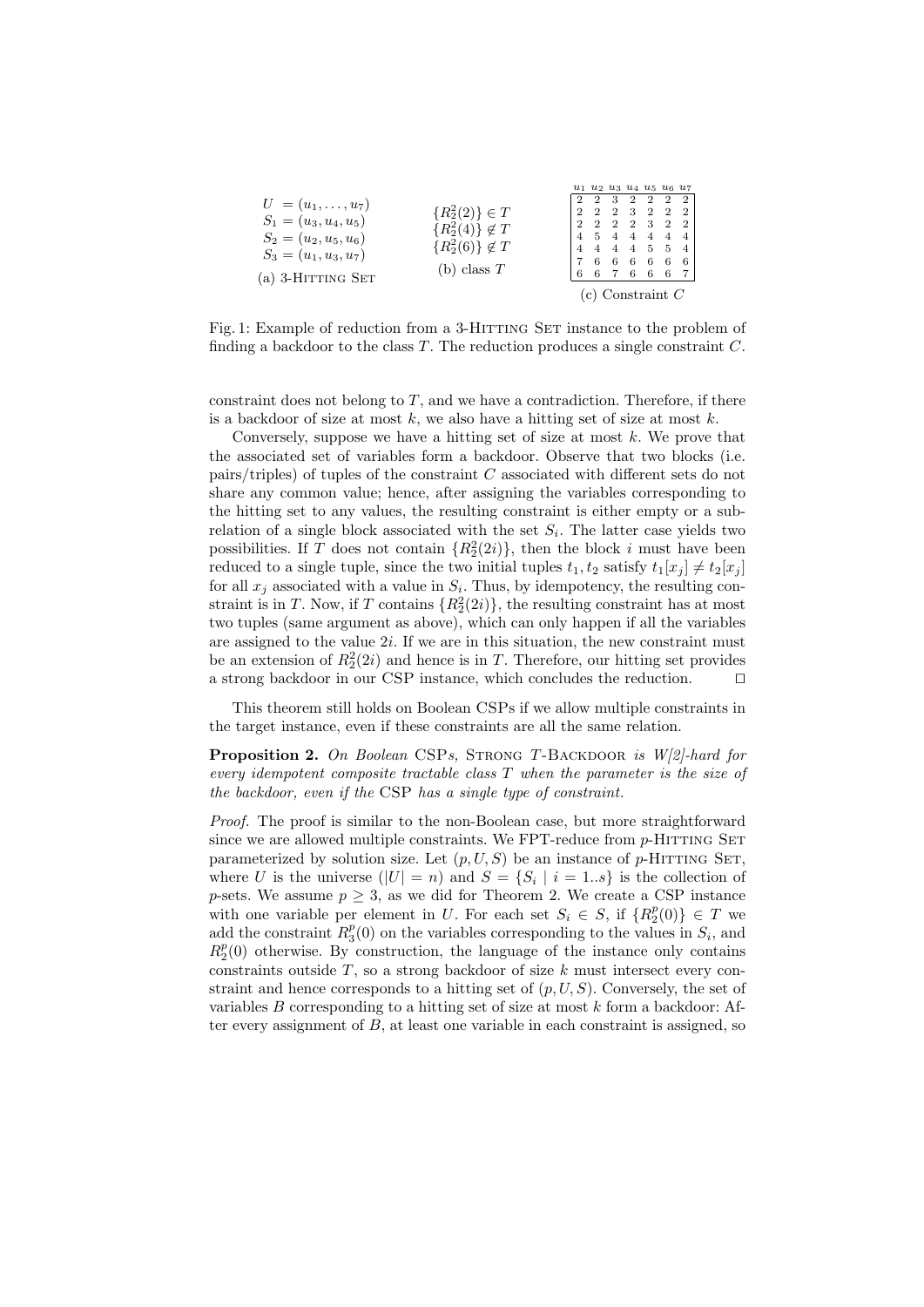|                          |                        |                             |  |     | $u_1$ $u_2$ $u_3$ $u_4$ $u_5$ $u_6$ $u_7$ |  |  |                |  |
|--------------------------|------------------------|-----------------------------|--|-----|-------------------------------------------|--|--|----------------|--|
| $U = (u_1, \ldots, u_7)$ |                        |                             |  |     | 2 3 2 2 2 2                               |  |  |                |  |
|                          | ${R_2^2(2)} \in T$     | $\mathcal{D}_{\mathcal{L}}$ |  | 2 2 | 3 2 2                                     |  |  | $\overline{2}$ |  |
| $S_1 = (u_3, u_4, u_5)$  | ${R_2^2(4)} \notin T$  |                             |  |     | 2 2 2 2 3 2                               |  |  | $\overline{2}$ |  |
| $S_2 = (u_2, u_5, u_6)$  |                        |                             |  |     | 5 4 4 4 4                                 |  |  |                |  |
|                          | ${R_2^2(6)} \not\in T$ |                             |  |     | 4 4 4 5 5                                 |  |  |                |  |
| $S_3 = (u_1, u_3, u_7)$  |                        |                             |  |     | 7 6 6 6 6 6                               |  |  | -6             |  |
| (a) 3-HITTING SET        | (b) class $T$          |                             |  |     | 6 7 6 6 6                                 |  |  |                |  |
|                          |                        | (c) Constraint $C$          |  |     |                                           |  |  |                |  |

Fig. 1: Example of reduction from a 3-HITTING SET instance to the problem of finding a backdoor to the class  $T$ . The reduction produces a single constraint  $C$ .

constraint does not belong to  $T$ , and we have a contradiction. Therefore, if there is a backdoor of size at most  $k$ , we also have a hitting set of size at most  $k$ .

Conversely, suppose we have a hitting set of size at most  $k$ . We prove that the associated set of variables form a backdoor. Observe that two blocks (i.e. pairs/triples) of tuples of the constraint C associated with different sets do not share any common value; hence, after assigning the variables corresponding to the hitting set to any values, the resulting constraint is either empty or a subrelation of a single block associated with the set  $S_i$ . The latter case yields two possibilities. If T does not contain  $\{R_2^2(2i)\}\$ , then the block i must have been reduced to a single tuple, since the two initial tuples  $t_1, t_2$  satisfy  $t_1[x_j] \neq t_2[x_j]$ for all  $x_j$  associated with a value in  $S_i$ . Thus, by idempotency, the resulting constraint is in T. Now, if T contains  $\{R_2^2(2i)\}\text{, the resulting constraint has at most }$ two tuples (same argument as above), which can only happen if all the variables are assigned to the value  $2i$ . If we are in this situation, the new constraint must be an extension of  $R_2^2(2i)$  and hence is in T. Therefore, our hitting set provides a strong backdoor in our CSP instance, which concludes the reduction.  $\square$ 

This theorem still holds on Boolean CSPs if we allow multiple constraints in the target instance, even if these constraints are all the same relation.

**Proposition 2.** On Boolean CSPs, STRONG T-BACKDOOR is W[2]-hard for every idempotent composite tractable class T when the parameter is the size of the backdoor, even if the CSP has a single type of constraint.

Proof. The proof is similar to the non-Boolean case, but more straightforward since we are allowed multiple constraints. We FPT-reduce from  $p$ -HITTING SET parameterized by solution size. Let  $(p, U, S)$  be an instance of p-HITTING SET, where U is the universe  $(|U| = n)$  and  $S = \{S_i | i = 1..s\}$  is the collection of p-sets. We assume  $p \geq 3$ , as we did for Theorem 2. We create a CSP instance with one variable per element in U. For each set  $S_i \in S$ , if  $\{R_2^p(0)\}\in T$  we add the constraint  $R_3^p(0)$  on the variables corresponding to the values in  $S_i$ , and  $R_2^p(0)$  otherwise. By construction, the language of the instance only contains constraints outside  $T$ , so a strong backdoor of size  $k$  must intersect every constraint and hence corresponds to a hitting set of  $(p, U, S)$ . Conversely, the set of variables  $B$  corresponding to a hitting set of size at most  $k$  form a backdoor: After every assignment of  $B$ , at least one variable in each constraint is assigned, so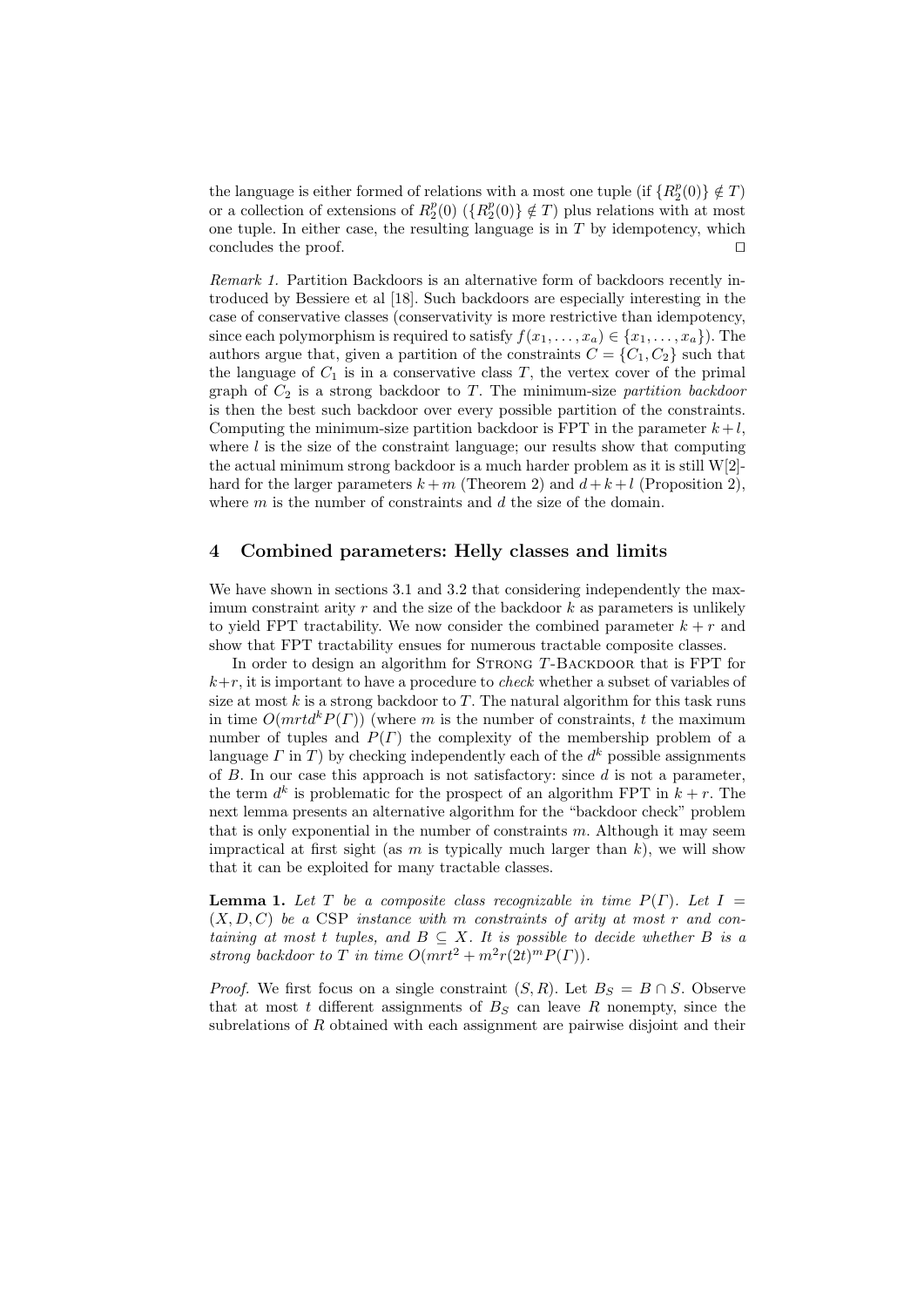the language is either formed of relations with a most one tuple (if  ${R_2^p(0)} \notin T$ ) or a collection of extensions of  $R_2^p(0)$   $\{R_2^p(0)\}\notin\mathcal{T}$  plus relations with at most one tuple. In either case, the resulting language is in  $T$  by idempotency, which concludes the proof.  $\Box$ 

Remark 1. Partition Backdoors is an alternative form of backdoors recently introduced by Bessiere et al [18]. Such backdoors are especially interesting in the case of conservative classes (conservativity is more restrictive than idempotency, since each polymorphism is required to satisfy  $f(x_1, \ldots, x_a) \in \{x_1, \ldots, x_a\}$ . The authors argue that, given a partition of the constraints  $C = \{C_1, C_2\}$  such that the language of  $C_1$  is in a conservative class  $T$ , the vertex cover of the primal graph of  $C_2$  is a strong backdoor to T. The minimum-size partition backdoor is then the best such backdoor over every possible partition of the constraints. Computing the minimum-size partition backdoor is FPT in the parameter  $k+l$ , where  $l$  is the size of the constraint language; our results show that computing the actual minimum strong backdoor is a much harder problem as it is still W[2] hard for the larger parameters  $k+m$  (Theorem 2) and  $d+k+l$  (Proposition 2), where  $m$  is the number of constraints and  $d$  the size of the domain.

## 4 Combined parameters: Helly classes and limits

We have shown in sections 3.1 and 3.2 that considering independently the maximum constraint arity  $r$  and the size of the backdoor  $k$  as parameters is unlikely to yield FPT tractability. We now consider the combined parameter  $k + r$  and show that FPT tractability ensues for numerous tractable composite classes.

In order to design an algorithm for STRONG T-BACKDOOR that is FPT for  $k+r$ , it is important to have a procedure to *check* whether a subset of variables of size at most  $k$  is a strong backdoor to  $T$ . The natural algorithm for this task runs in time  $O(mrtd^kP(\Gamma))$  (where m is the number of constraints, t the maximum number of tuples and  $P(\Gamma)$  the complexity of the membership problem of a language  $\Gamma$  in  $T$ ) by checking independently each of the  $d^k$  possible assignments of  $B$ . In our case this approach is not satisfactory: since  $d$  is not a parameter, the term  $d^k$  is problematic for the prospect of an algorithm FPT in  $k + r$ . The next lemma presents an alternative algorithm for the "backdoor check" problem that is only exponential in the number of constraints  $m$ . Although it may seem impractical at first sight (as m is typically much larger than  $k$ ), we will show that it can be exploited for many tractable classes.

**Lemma 1.** Let T be a composite class recognizable in time  $P(\Gamma)$ . Let  $I =$  $(X, D, C)$  be a CSP instance with m constraints of arity at most r and containing at most t tuples, and  $B \subseteq X$ . It is possible to decide whether B is a strong backdoor to T in time  $O(mrt^2 + m^2r(2t)^mP(\Gamma)).$ 

*Proof.* We first focus on a single constraint  $(S, R)$ . Let  $B_S = B \cap S$ . Observe that at most t different assignments of  $B<sub>S</sub>$  can leave R nonempty, since the subrelations of  $R$  obtained with each assignment are pairwise disjoint and their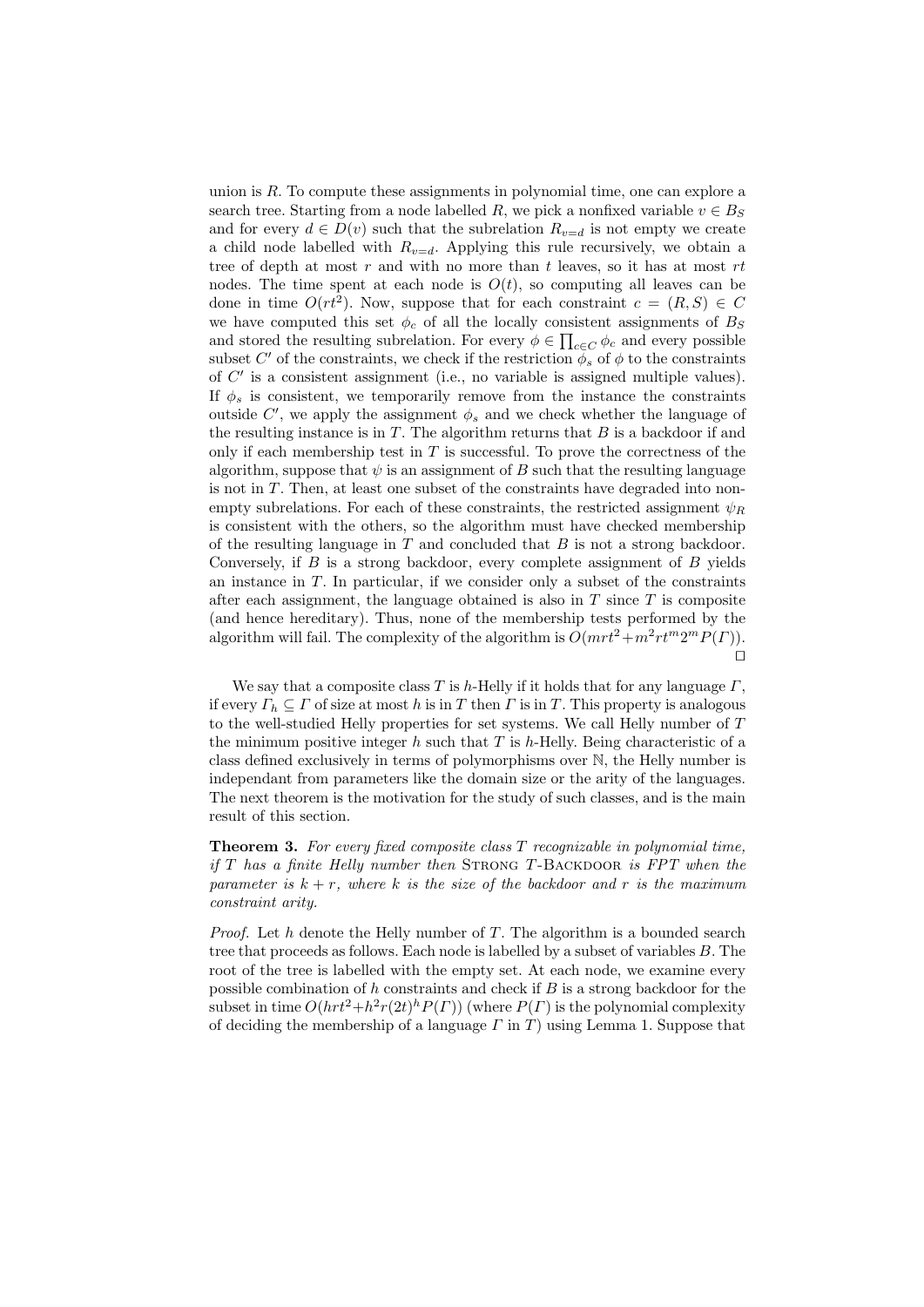union is  $R$ . To compute these assignments in polynomial time, one can explore a search tree. Starting from a node labelled R, we pick a nonfixed variable  $v \in B_S$ and for every  $d \in D(v)$  such that the subrelation  $R_{v=d}$  is not empty we create a child node labelled with  $R_{v=d}$ . Applying this rule recursively, we obtain a tree of depth at most  $r$  and with no more than  $t$  leaves, so it has at most  $rt$ nodes. The time spent at each node is  $O(t)$ , so computing all leaves can be done in time  $O(rt^2)$ . Now, suppose that for each constraint  $c = (R, S) \in C$ we have computed this set  $\phi_c$  of all the locally consistent assignments of  $B_s$ and stored the resulting subrelation. For every  $\phi \in \prod_{c \in C} \phi_c$  and every possible subset C' of the constraints, we check if the restriction  $\phi_s$  of  $\phi$  to the constraints of C' is a consistent assignment (i.e., no variable is assigned multiple values). If  $\phi_s$  is consistent, we temporarily remove from the instance the constraints outside  $C'$ , we apply the assignment  $\phi_s$  and we check whether the language of the resulting instance is in  $T$ . The algorithm returns that  $B$  is a backdoor if and only if each membership test in  $T$  is successful. To prove the correctness of the algorithm, suppose that  $\psi$  is an assignment of B such that the resulting language is not in  $T$ . Then, at least one subset of the constraints have degraded into nonempty subrelations. For each of these constraints, the restricted assignment  $\psi_R$ is consistent with the others, so the algorithm must have checked membership of the resulting language in  $T$  and concluded that  $B$  is not a strong backdoor. Conversely, if  $B$  is a strong backdoor, every complete assignment of  $B$  yields an instance in  $T$ . In particular, if we consider only a subset of the constraints after each assignment, the language obtained is also in  $T$  since  $T$  is composite (and hence hereditary). Thus, none of the membership tests performed by the algorithm will fail. The complexity of the algorithm is  $O(mrt^2 + m^2rt^m2^mP(\Gamma)).$  $\Box$ 

We say that a composite class  $T$  is h-Helly if it holds that for any language  $\Gamma$ , if every  $\Gamma_h \subseteq \Gamma$  of size at most h is in T then  $\Gamma$  is in T. This property is analogous to the well-studied Helly properties for set systems. We call Helly number of T the minimum positive integer h such that  $T$  is h-Helly. Being characteristic of a class defined exclusively in terms of polymorphisms over N, the Helly number is independant from parameters like the domain size or the arity of the languages. The next theorem is the motivation for the study of such classes, and is the main result of this section.

**Theorem 3.** For every fixed composite class  $T$  recognizable in polynomial time, if  $T$  has a finite Helly number then STRONG  $T$ -BACKDOOR is FPT when the parameter is  $k + r$ , where k is the size of the backdoor and r is the maximum constraint arity.

*Proof.* Let h denote the Helly number of T. The algorithm is a bounded search tree that proceeds as follows. Each node is labelled by a subset of variables B. The root of the tree is labelled with the empty set. At each node, we examine every possible combination of h constraints and check if  $B$  is a strong backdoor for the subset in time  $O(hrt^2 + h^2r(2t)^hP(\Gamma))$  (where  $P(\Gamma)$  is the polynomial complexity of deciding the membership of a language  $\Gamma$  in  $T$ ) using Lemma 1. Suppose that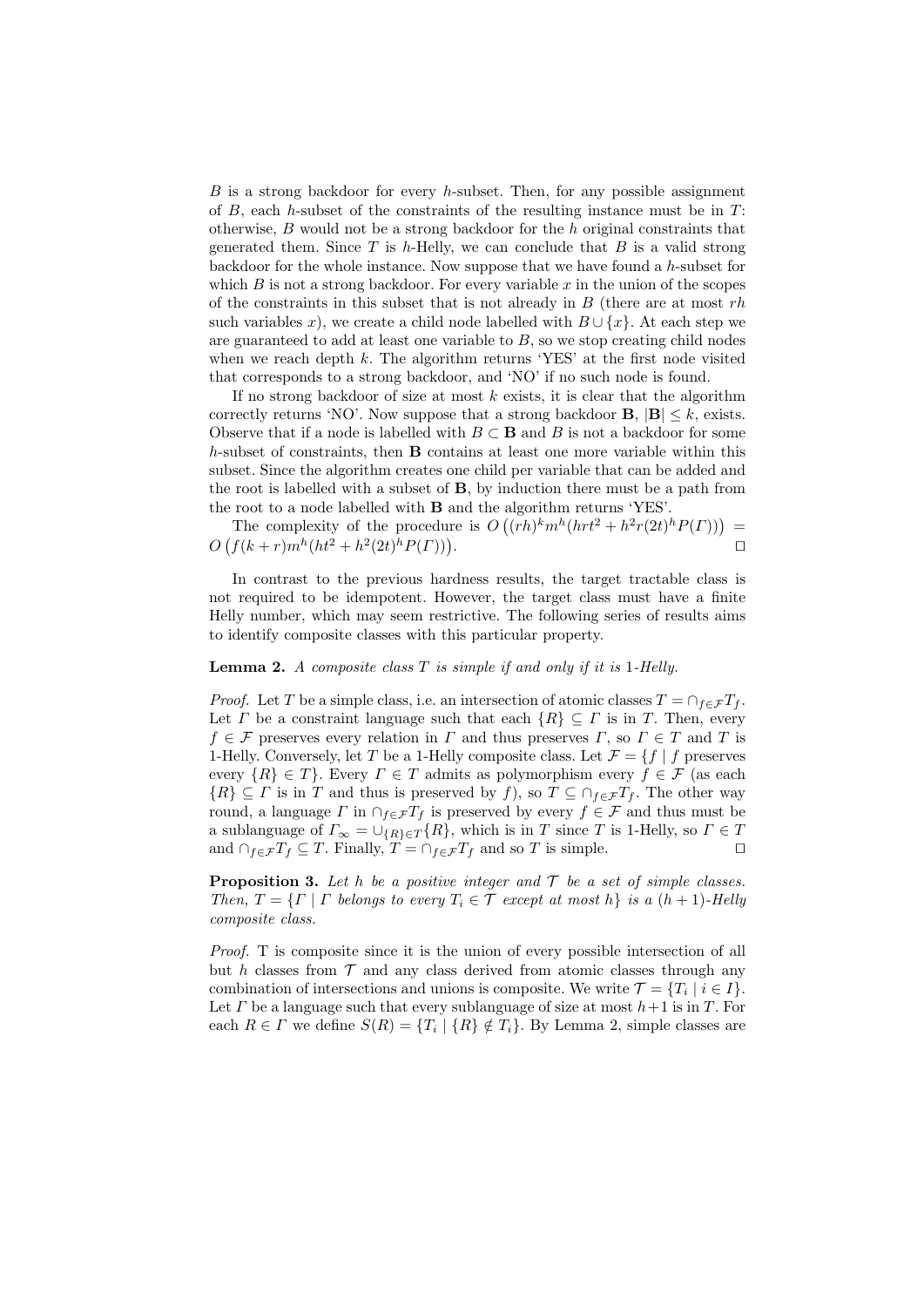$B$  is a strong backdoor for every h-subset. Then, for any possible assignment of  $B$ , each h-subset of the constraints of the resulting instance must be in  $T$ : otherwise,  $B$  would not be a strong backdoor for the  $h$  original constraints that generated them. Since  $T$  is h-Helly, we can conclude that  $B$  is a valid strong backdoor for the whole instance. Now suppose that we have found a h-subset for which  $B$  is not a strong backdoor. For every variable  $x$  in the union of the scopes of the constraints in this subset that is not already in  $B$  (there are at most rh such variables x), we create a child node labelled with  $B \cup \{x\}$ . At each step we are guaranteed to add at least one variable to  $B$ , so we stop creating child nodes when we reach depth  $k$ . The algorithm returns 'YES' at the first node visited that corresponds to a strong backdoor, and 'NO' if no such node is found.

If no strong backdoor of size at most  $k$  exists, it is clear that the algorithm correctly returns 'NO'. Now suppose that a strong backdoor  $\mathbf{B}, |\mathbf{B}| \leq k$ , exists. Observe that if a node is labelled with  $B \subset \mathbf{B}$  and B is not a backdoor for some  $h$ -subset of constraints, then  $B$  contains at least one more variable within this subset. Since the algorithm creates one child per variable that can be added and the root is labelled with a subset of  $\bf{B}$ , by induction there must be a path from the root to a node labelled with B and the algorithm returns 'YES'.

The complexity of the procedure is  $O((rh)^k m^h (hrt^2 + h^2 r (2t)^h P(\Gamma)))$  $O(f(k+r)m^{h}(ht^{2}+h^{2}(2t)^{h}P(\Gamma)))$ . **In the contract of the contract of the contract of the contract of the contract of the contract of the contract of the contract of the contract of the contract of the contract of the contract of the contract of the cont** 

In contrast to the previous hardness results, the target tractable class is not required to be idempotent. However, the target class must have a finite Helly number, which may seem restrictive. The following series of results aims to identify composite classes with this particular property.

**Lemma 2.** A composite class  $T$  is simple if and only if it is 1-Helly.

*Proof.* Let T be a simple class, i.e. an intersection of atomic classes  $T = \bigcap_{f \in \mathcal{F}} T_f$ . Let  $\Gamma$  be a constraint language such that each  $\{R\} \subseteq \Gamma$  is in  $T$ . Then, every  $f \in \mathcal{F}$  preserves every relation in  $\Gamma$  and thus preserves  $\Gamma$ , so  $\Gamma \in \mathcal{T}$  and  $\Gamma$  is 1-Helly. Conversely, let T be a 1-Helly composite class. Let  $\mathcal{F} = \{f \mid f \text{ preserves }\}$ every  $\{R\} \in T$ . Every  $\Gamma \in T$  admits as polymorphism every  $f \in \mathcal{F}$  (as each  $\{R\} \subseteq \Gamma$  is in T and thus is preserved by f), so  $T \subseteq \bigcap_{f \in \mathcal{F}} T_f$ . The other way round, a language  $\Gamma$  in  $\cap_{f \in \mathcal{F}} T_f$  is preserved by every  $f \in \mathcal{F}$  and thus must be a sublanguage of  $\Gamma_{\infty} = \bigcup_{\{R\} \in T} \{R\}$ , which is in T since T is 1-Helly, so  $\Gamma \in T$ and  $\cap_{f \in \mathcal{F}} T_f \subseteq T$ . Finally,  $T = \cap_{f \in \mathcal{F}} T_f$  and so T is simple.

**Proposition 3.** Let h be a positive integer and  $\mathcal T$  be a set of simple classes. Then,  $T = \{ \Gamma \mid \Gamma \text{ belongs to every } T_i \in \mathcal{T} \text{ except at most } h \}$  is a  $(h+1)$ -Helly composite class.

Proof. T is composite since it is the union of every possible intersection of all but h classes from  $\mathcal T$  and any class derived from atomic classes through any combination of intersections and unions is composite. We write  $\mathcal{T} = \{T_i \mid i \in I\}$ . Let  $\Gamma$  be a language such that every sublanguage of size at most  $h+1$  is in  $T$ . For each  $R \in \Gamma$  we define  $S(R) = \{T_i \mid \{R\} \notin T_i\}$ . By Lemma 2, simple classes are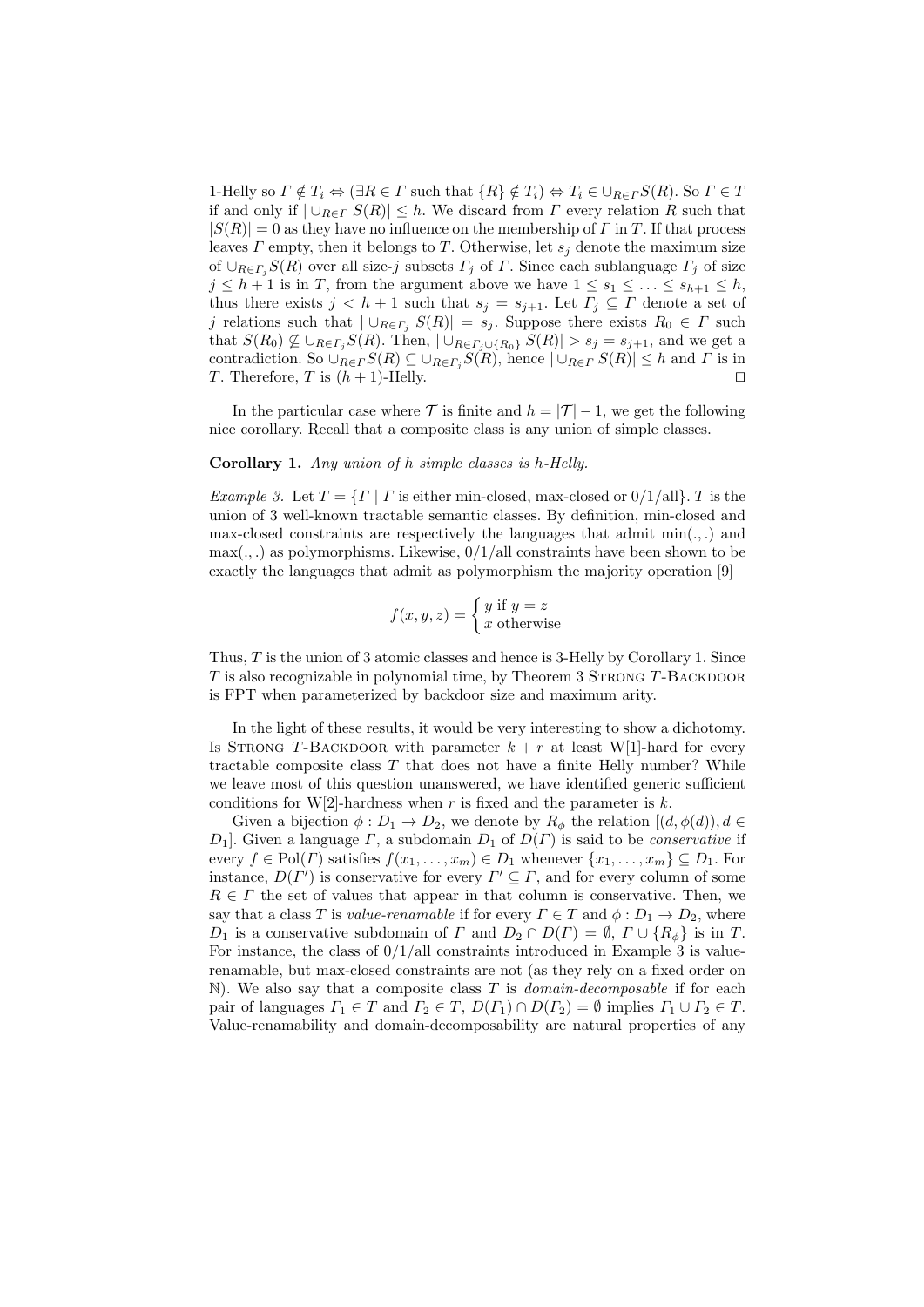1-Helly so  $\Gamma \notin T_i \Leftrightarrow (\exists R \in \Gamma \text{ such that } \{R\} \notin T_i) \Leftrightarrow T_i \in \cup_{R \in \Gamma} S(R)$ . So  $\Gamma \in T$ if and only if  $|\bigcup_{R\in\Gamma}S(R)|\leq h$ . We discard from  $\Gamma$  every relation R such that  $|S(R)| = 0$  as they have no influence on the membership of  $\Gamma$  in  $T$ . If that process leaves  $\Gamma$  empty, then it belongs to  $\Gamma$ . Otherwise, let  $s_i$  denote the maximum size of  $\cup_{R\in\Gamma_i}S(R)$  over all size-j subsets  $\Gamma_i$  of  $\Gamma$ . Since each sublanguage  $\Gamma_i$  of size  $j \leq h+1$  is in T, from the argument above we have  $1 \leq s_1 \leq \ldots \leq s_{h+1} \leq h$ , thus there exists  $j < h + 1$  such that  $s_j = s_{j+1}$ . Let  $\overline{\Gamma_j} \subseteq \overline{\Gamma}$  denote a set of j relations such that  $| \bigcup_{R \in \Gamma_j} S(R)| = s_j$ . Suppose there exists  $R_0 \in \Gamma$  such that  $S(R_0) \nsubseteq \bigcup_{R \in \Gamma_j} S(R)$ . Then,  $|\bigcup_{R \in \Gamma_j \cup \{R_0\}} S(R)| > s_j = s_{j+1}$ , and we get a contradiction. So  $\cup_{R\in \Gamma} S(R) \subseteq \cup_{R\in \Gamma_i} S(R)$ , hence  $|\cup_{R\in \Gamma} S(R)| \leq h$  and  $\Gamma$  is in T. Therefore, T is  $(h + 1)$ -Helly.

In the particular case where  $\mathcal T$  is finite and  $h = |\mathcal T| - 1$ , we get the following nice corollary. Recall that a composite class is any union of simple classes.

## Corollary 1. Any union of h simple classes is h-Helly.

Example 3. Let  $T = \{ \Gamma \mid \Gamma \text{ is either min-closed, max-closed or } 0/1/\text{all} \}$ . T is the union of 3 well-known tractable semantic classes. By definition, min-closed and max-closed constraints are respectively the languages that admit  $min(.,.)$  and  $max(.,.)$  as polymorphisms. Likewise,  $0/1/all$  constraints have been shown to be exactly the languages that admit as polymorphism the majority operation [9]

$$
f(x, y, z) = \begin{cases} y \text{ if } y = z \\ x \text{ otherwise} \end{cases}
$$

Thus, T is the union of 3 atomic classes and hence is 3-Helly by Corollary 1. Since  $T$  is also recognizable in polynomial time, by Theorem 3 STRONG  $T$ -BACKDOOR is FPT when parameterized by backdoor size and maximum arity.

In the light of these results, it would be very interesting to show a dichotomy. Is STRONG T-BACKDOOR with parameter  $k + r$  at least W[1]-hard for every tractable composite class  $T$  that does not have a finite Helly number? While we leave most of this question unanswered, we have identified generic sufficient conditions for W[2]-hardness when r is fixed and the parameter is  $k$ .

Given a bijection  $\phi : D_1 \to D_2$ , we denote by  $R_{\phi}$  the relation  $[(d, \phi(d)), d \in$  $D_1$ . Given a language  $\Gamma$ , a subdomain  $D_1$  of  $D(\Gamma)$  is said to be *conservative* if every  $f \in Pol(\Gamma)$  satisfies  $f(x_1, \ldots, x_m) \in D_1$  whenever  $\{x_1, \ldots, x_m\} \subseteq D_1$ . For instance,  $D(\Gamma')$  is conservative for every  $\Gamma' \subseteq \Gamma$ , and for every column of some  $R \in \Gamma$  the set of values that appear in that column is conservative. Then, we say that a class T is value-renamable if for every  $\Gamma \in T$  and  $\phi : D_1 \to D_2$ , where  $D_1$  is a conservative subdomain of  $\Gamma$  and  $D_2 \cap D(\Gamma) = \emptyset$ ,  $\Gamma \cup \{R_{\phi}\}\$ is in  $T$ . For instance, the class of  $0/1/all$  constraints introduced in Example 3 is valuerenamable, but max-closed constraints are not (as they rely on a fixed order on  $\mathbb N$ ). We also say that a composite class T is *domain-decomposable* if for each pair of languages  $\Gamma_1 \in T$  and  $\Gamma_2 \in T$ ,  $D(\Gamma_1) \cap D(\Gamma_2) = \emptyset$  implies  $\Gamma_1 \cup \Gamma_2 \in T$ . Value-renamability and domain-decomposability are natural properties of any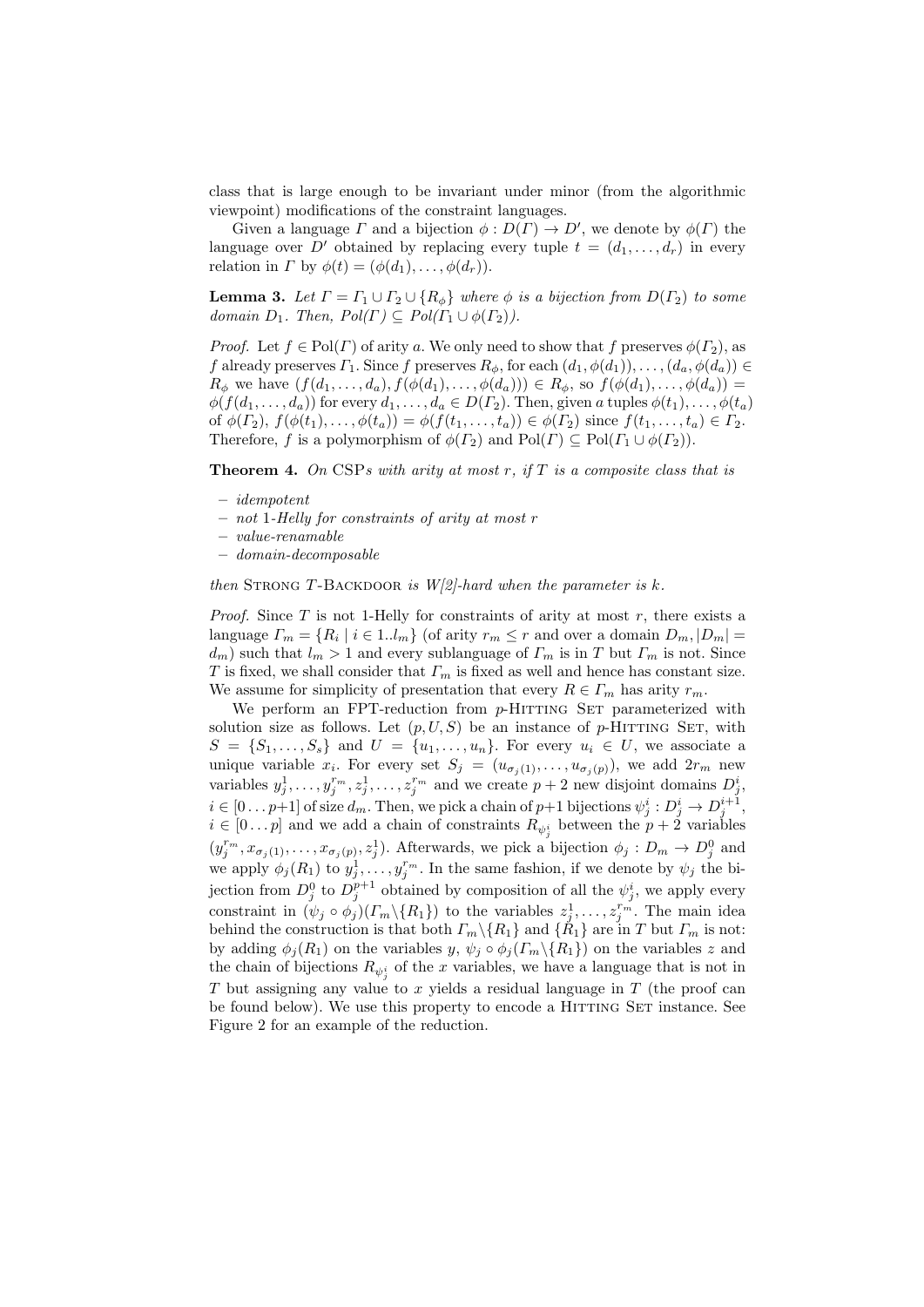class that is large enough to be invariant under minor (from the algorithmic viewpoint) modifications of the constraint languages.

Given a language  $\Gamma$  and a bijection  $\phi: D(\Gamma) \to D'$ , we denote by  $\phi(\Gamma)$  the language over D' obtained by replacing every tuple  $t = (d_1, \ldots, d_r)$  in every relation in  $\Gamma$  by  $\phi(t) = (\phi(d_1), \ldots, \phi(d_r)).$ 

**Lemma 3.** Let  $\Gamma = \Gamma_1 \cup \Gamma_2 \cup \{R_{\phi}\}\$  where  $\phi$  is a bijection from  $D(\Gamma_2)$  to some domain  $D_1$ . Then,  $Pol(\Gamma) \subseteq Pol(\Gamma_1 \cup \phi(\Gamma_2))$ .

*Proof.* Let  $f \in Pol(\Gamma)$  of arity a. We only need to show that f preserves  $\phi(T_2)$ , as f already preserves  $\Gamma_1$ . Since f preserves  $R_{\phi}$ , for each  $(d_1, \phi(d_1)), \ldots, (d_a, \phi(d_a)) \in$  $R_{\phi}$  we have  $(f(d_1, \ldots, d_a), f(\phi(d_1), \ldots, \phi(d_a))) \in R_{\phi}$ , so  $f(\phi(d_1), \ldots, \phi(d_a)) =$  $\phi(f(d_1, \ldots, d_a))$  for every  $d_1, \ldots, d_a \in D(\Gamma_2)$ . Then, given a tuples  $\phi(t_1), \ldots, \phi(t_a)$ of  $\phi(\Gamma_2), f(\phi(t_1), \ldots, \phi(t_a)) = \phi(f(t_1, \ldots, t_a)) \in \phi(\Gamma_2)$  since  $f(t_1, \ldots, t_a) \in \Gamma_2$ . Therefore, f is a polymorphism of  $\phi(\Gamma_2)$  and  $Pol(\Gamma) \subseteq Pol(\Gamma_1 \cup \phi(\Gamma_2)).$ 

**Theorem 4.** On CSPs with arity at most r, if  $T$  is a composite class that is

- idempotent
- not 1-Helly for constraints of arity at most r
- value-renamable
- domain-decomposable

then STRONG T-BACKDOOR is  $W[2]$ -hard when the parameter is k.

*Proof.* Since T is not 1-Helly for constraints of arity at most r, there exists a language  $\Gamma_m = \{R_i \mid i \in 1..l_m\}$  (of arity  $r_m \leq r$  and over a domain  $D_m$ ,  $|D_m|$  =  $d_m$ ) such that  $l_m > 1$  and every sublanguage of  $\Gamma_m$  is in T but  $\Gamma_m$  is not. Since T is fixed, we shall consider that  $\Gamma_m$  is fixed as well and hence has constant size. We assume for simplicity of presentation that every  $R \in \Gamma_m$  has arity  $r_m$ .

We perform an FPT-reduction from  $p$ -HITTING SET parameterized with solution size as follows. Let  $(p, U, S)$  be an instance of p-HITTING SET, with  $S = \{S_1, \ldots, S_s\}$  and  $U = \{u_1, \ldots, u_n\}$ . For every  $u_i \in U$ , we associate a unique variable  $x_i$ . For every set  $S_j = (u_{\sigma_j(1)}, \ldots, u_{\sigma_j(p)})$ , we add  $2r_m$  new variables  $y_j^1, \ldots, y_j^{r_m}, z_j^1, \ldots, z_j^{r_m}$  and we create  $p+2$  new disjoint domains  $D_j^i$ ,  $i \in [0 \dots p+1]$  of size  $d_m$ . Then, we pick a chain of  $p+1$  bijections  $\psi_j^i : D_j^i \to D_j^{i+1}$ ,  $i \in [0 \dots p]$  and we add a chain of constraints  $R_{\psi_j^i}$  between the  $p+2$  variables  $(y_j^{r_m}, x_{\sigma_j(1)}, \ldots, x_{\sigma_j(p)}, z_j^1)$ . Afterwards, we pick a bijection  $\phi_j : D_m \to D_j^0$  and we apply  $\phi_j(R_1)$  to  $y_j^1, \ldots, y_j^{r_m}$ . In the same fashion, if we denote by  $\psi_j$  the bijection from  $D_j^0$  to  $D_j^{p+1}$  obtained by composition of all the  $\psi_j^i$ , we apply every constraint in  $(\psi_j \circ \phi_j)(T_m \setminus \{R_1\})$  to the variables  $z_j^1, \ldots, z_j^{r_m}$ . The main idea behind the construction is that both  $\Gamma_m \backslash \{R_1\}$  and  $\{\mathring{R_1}\}$  are in T but  $\Gamma_m$  is not: by adding  $\phi_j(R_1)$  on the variables y,  $\psi_j \circ \phi_j(\Gamma_m \backslash \{R_1\})$  on the variables z and the chain of bijections  $R_{\psi_j^i}$  of the x variables, we have a language that is not in  $T$  but assigning any value to  $x$  yields a residual language in  $T$  (the proof can be found below). We use this property to encode a HITTING SET instance. See Figure 2 for an example of the reduction.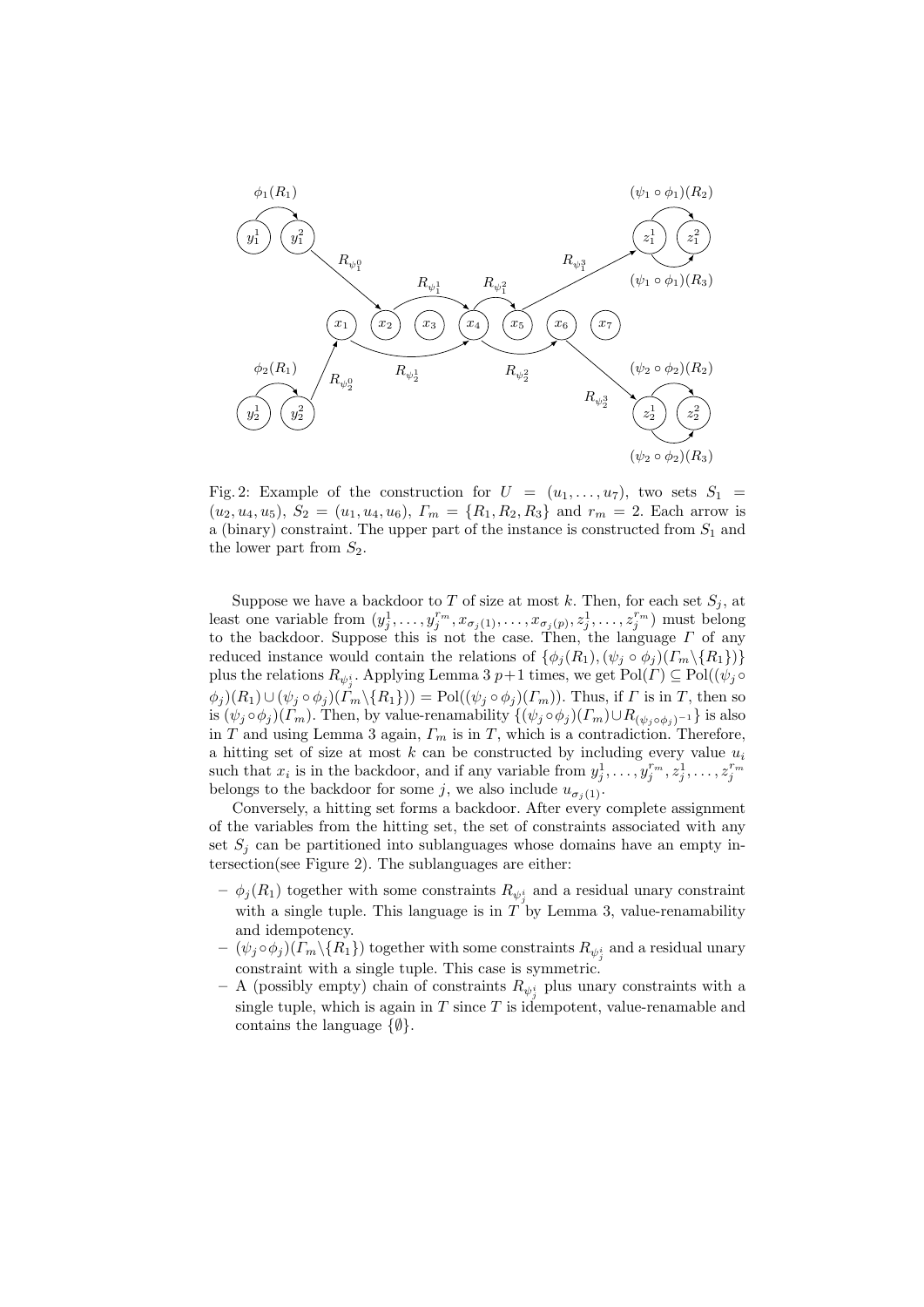

Fig. 2: Example of the construction for  $U = (u_1, \ldots, u_7)$ , two sets  $S_1$  =  $(u_2, u_4, u_5), S_2 = (u_1, u_4, u_6), \Gamma_m = \{R_1, R_2, R_3\}$  and  $r_m = 2$ . Each arrow is a (binary) constraint. The upper part of the instance is constructed from  $S_1$  and the lower part from  $S_2$ .

Suppose we have a backdoor to T of size at most k. Then, for each set  $S_j$ , at least one variable from  $(y_j^1, \ldots, y_j^{r_m}, x_{\sigma_j(1)}, \ldots, x_{\sigma_j(p)}, z_j^1, \ldots, z_j^{r_m})$  must belong to the backdoor. Suppose this is not the case. Then, the language  $\Gamma$  of any reduced instance would contain the relations of  $\{\phi_j(R_1),(\psi_j \circ \phi_j)(\Gamma_m \backslash \{R_1\})\}$ plus the relations  $R_{\psi_j^i}$ . Applying Lemma 3  $p+1$  times, we get  $Pol(\Gamma) \subseteq Pol((\psi_j \circ \Gamma))$  $\phi_j (R_1) \cup (\psi_j \circ \phi_j)(\Gamma_m \backslash \{R_1\}) = \text{Pol}((\psi_j \circ \phi_j)(\Gamma_m))$ . Thus, if  $\Gamma$  is in  $T$ , then so is  $(\psi_j \circ \phi_j)(\Gamma_m)$ . Then, by value-renamability  $\{(\psi_j \circ \phi_j)(\Gamma_m) \cup R_{(\psi_i \circ \phi_j)}\}$  is also in T and using Lemma 3 again,  $\Gamma_m$  is in T, which is a contradiction. Therefore, a hitting set of size at most  $k$  can be constructed by including every value  $u_i$ such that  $x_i$  is in the backdoor, and if any variable from  $y_j^1, \ldots, y_j^{r_m}, z_j^1, \ldots, z_j^{r_m}$ belongs to the backdoor for some j, we also include  $u_{\sigma_i(1)}$ .

Conversely, a hitting set forms a backdoor. After every complete assignment of the variables from the hitting set, the set of constraints associated with any set  $S_j$  can be partitioned into sublanguages whose domains have an empty intersection(see Figure 2). The sublanguages are either:

- $\phi_j(R_1)$  together with some constraints  $R_{\psi_j^i}$  and a residual unary constraint with a single tuple. This language is in  $T$  by Lemma 3, value-renamability and idempotency.
- $(\psi_j \circ \phi_j)(\Gamma_m \backslash \{R_1\})$  together with some constraints  $R_{\psi_j^i}$  and a residual unary constraint with a single tuple. This case is symmetric.
- $-$  A (possibly empty) chain of constraints  $R_{\psi_j^i}$  plus unary constraints with a single tuple, which is again in  $T$  since  $T$  is idempotent, value-renamable and contains the language  $\{\emptyset\}.$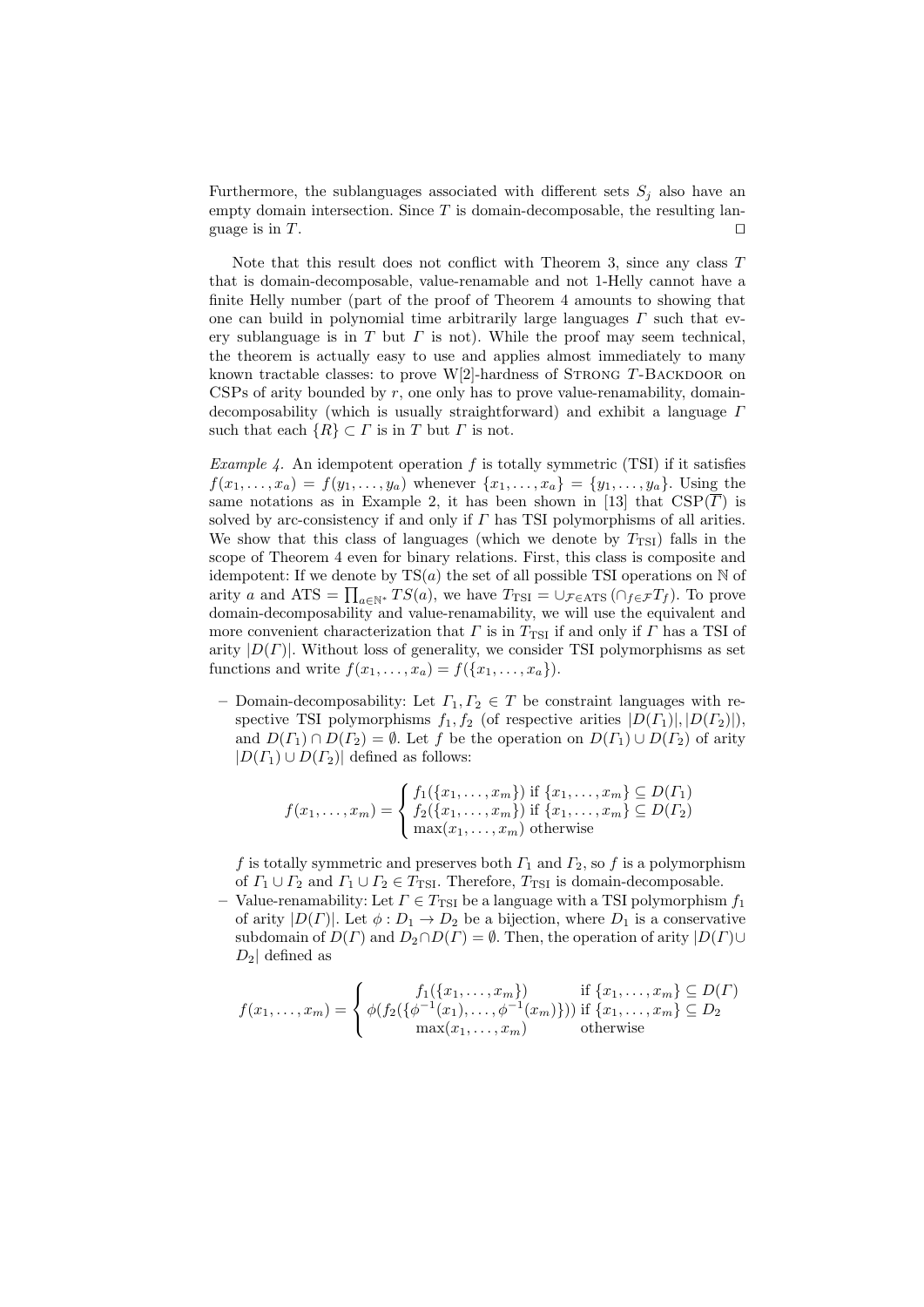Furthermore, the sublanguages associated with different sets  $S_j$  also have an empty domain intersection. Since  $T$  is domain-decomposable, the resulting language is in  $T$ .

Note that this result does not conflict with Theorem 3, since any class T that is domain-decomposable, value-renamable and not 1-Helly cannot have a finite Helly number (part of the proof of Theorem 4 amounts to showing that one can build in polynomial time arbitrarily large languages  $\Gamma$  such that every sublanguage is in  $T$  but  $\Gamma$  is not). While the proof may seem technical, the theorem is actually easy to use and applies almost immediately to many known tractable classes: to prove  $W[2]$ -hardness of STRONG T-BACKDOOR on CSPs of arity bounded by  $r$ , one only has to prove value-renamability, domaindecomposability (which is usually straightforward) and exhibit a language Γ such that each  $\{R\} \subset \Gamma$  is in T but  $\Gamma$  is not.

*Example 4.* An idempotent operation  $f$  is totally symmetric (TSI) if it satisfies  $f(x_1, \ldots, x_a) = f(y_1, \ldots, y_a)$  whenever  $\{x_1, \ldots, x_a\} = \{y_1, \ldots, y_a\}$ . Using the same notations as in Example 2, it has been shown in [13] that  $CSP(\overline{\Gamma})$  is solved by arc-consistency if and only if  $\Gamma$  has TSI polymorphisms of all arities. We show that this class of languages (which we denote by  $T_{\text{TSI}}$ ) falls in the scope of Theorem 4 even for binary relations. First, this class is composite and idempotent: If we denote by  $TS(a)$  the set of all possible TSI operations on N of arity a and ATS =  $\prod_{a \in \mathbb{N}^*} TS(a)$ , we have  $T_{\text{TSI}} = \bigcup_{\mathcal{F} \in \text{ATS}} (\bigcap_{f \in \mathcal{F}} T_f)$ . To prove domain-decomposability and value-renamability, we will use the equivalent and more convenient characterization that  $\Gamma$  is in  $T_{\text{TSI}}$  if and only if  $\Gamma$  has a TSI of arity  $|D(T)|$ . Without loss of generality, we consider TSI polymorphisms as set functions and write  $f(x_1, \ldots, x_a) = f({x_1, \ldots, x_a}).$ 

– Domain-decomposability: Let  $\Gamma_1, \Gamma_2 \in T$  be constraint languages with respective TSI polymorphisms  $f_1, f_2$  (of respective arities  $|D(T_1)|, |D(T_2)|$ ), and  $D(T_1) \cap D(T_2) = \emptyset$ . Let f be the operation on  $D(T_1) \cup D(T_2)$  of arity  $|D(\Gamma_1) \cup D(\Gamma_2)|$  defined as follows:

$$
f(x_1,...,x_m) = \begin{cases} f_1(\{x_1,...,x_m\}) & \text{if } \{x_1,...,x_m\} \subseteq D(T_1) \\ f_2(\{x_1,...,x_m\}) & \text{if } \{x_1,...,x_m\} \subseteq D(T_2) \\ \max(x_1,...,x_m) & \text{otherwise} \end{cases}
$$

f is totally symmetric and preserves both  $\Gamma_1$  and  $\Gamma_2$ , so f is a polymorphism of  $\Gamma_1 \cup \Gamma_2$  and  $\Gamma_1 \cup \Gamma_2 \in T_{\text{TSI}}$ . Therefore,  $T_{\text{TSI}}$  is domain-decomposable.

– Value-renamability: Let  $\Gamma \in T_{\text{TSI}}$  be a language with a TSI polymorphism  $f_1$ of arity  $|D(\Gamma)|$ . Let  $\phi: D_1 \to D_2$  be a bijection, where  $D_1$  is a conservative subdomain of  $D(\Gamma)$  and  $D_2 \cap D(\Gamma) = \emptyset$ . Then, the operation of arity  $|D(\Gamma) \cup$  $D_2$  defined as

$$
f(x_1,...,x_m) = \begin{cases} f_1(\{x_1,...,x_m\}) & \text{if } \{x_1,...,x_m\} \subseteq D(\Gamma) \\ \phi(f_2(\{\phi^{-1}(x_1),..., \phi^{-1}(x_m)\})) & \text{if } \{x_1,...,x_m\} \subseteq D_2 \\ \max(x_1,...,x_m) & \text{otherwise} \end{cases}
$$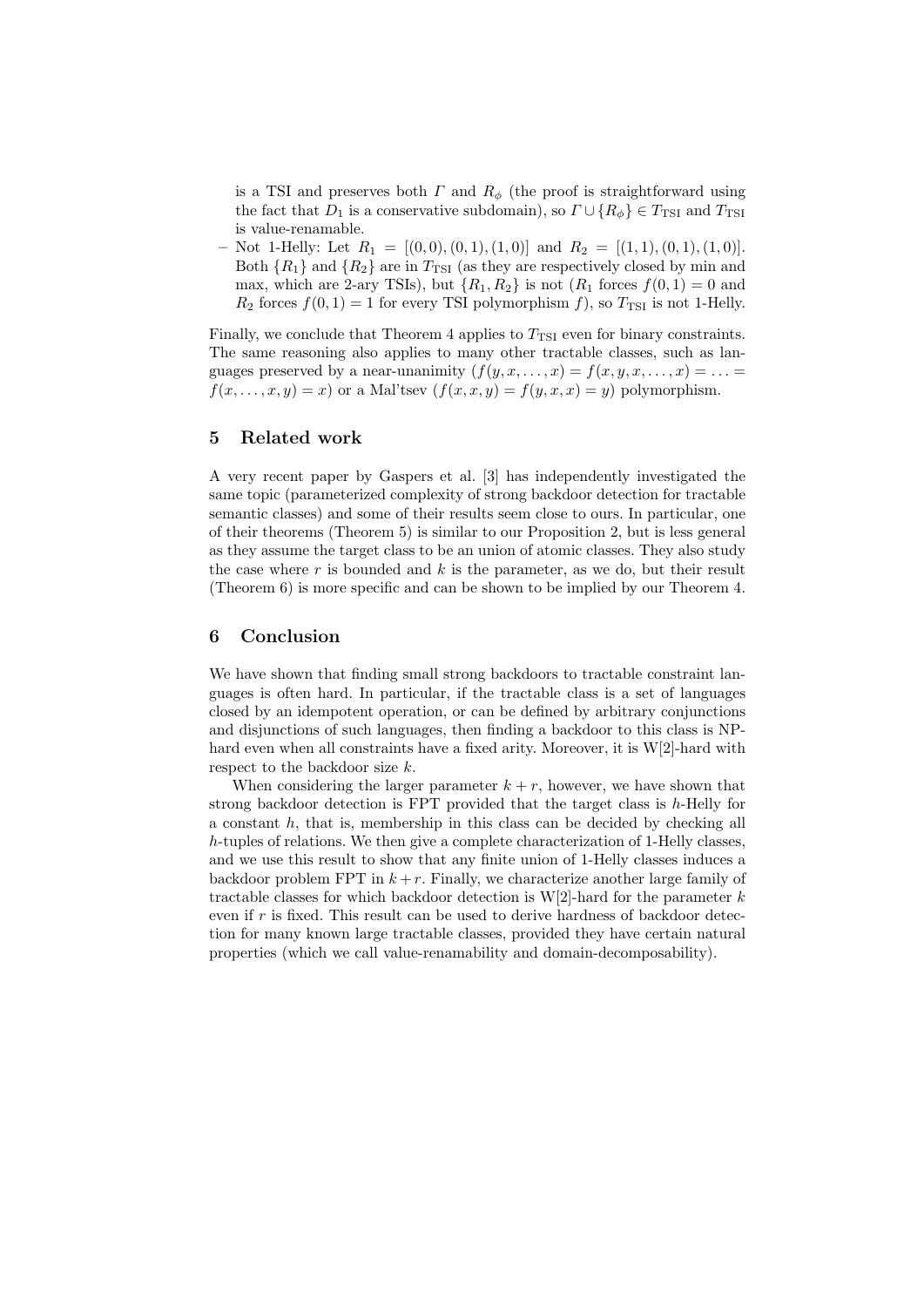is a TSI and preserves both  $\Gamma$  and  $R_{\phi}$  (the proof is straightforward using the fact that  $D_1$  is a conservative subdomain), so  $\Gamma \cup \{R_\phi\} \in T_{\text{TSI}}$  and  $T_{\text{TSI}}$ is value-renamable.

- Not 1-Helly: Let  $R_1 = [(0, 0), (0, 1), (1, 0)]$  and  $R_2 = [(1, 1), (0, 1), (1, 0)].$ Both  ${R_1}$  and  ${R_2}$  are in  $T_{TSI}$  (as they are respectively closed by min and max, which are 2-ary TSIs), but  $\{R_1, R_2\}$  is not  $(R_1 \text{ forces } f(0, 1) = 0$  and  $R_2$  forces  $f(0, 1) = 1$  for every TSI polymorphism f), so  $T_{\text{TSI}}$  is not 1-Helly.

Finally, we conclude that Theorem 4 applies to  $T_{\text{TSI}}$  even for binary constraints. The same reasoning also applies to many other tractable classes, such as languages preserved by a near-unanimity  $(f(y, x, \dots, x) = f(x, y, x, \dots, x) = \dots$  $f(x, \ldots, x, y) = x$  or a Mal'tsev  $(f(x, x, y) = f(y, x, x) = y)$  polymorphism.

## 5 Related work

A very recent paper by Gaspers et al. [3] has independently investigated the same topic (parameterized complexity of strong backdoor detection for tractable semantic classes) and some of their results seem close to ours. In particular, one of their theorems (Theorem 5) is similar to our Proposition 2, but is less general as they assume the target class to be an union of atomic classes. They also study the case where  $r$  is bounded and  $k$  is the parameter, as we do, but their result (Theorem 6) is more specific and can be shown to be implied by our Theorem 4.

# 6 Conclusion

We have shown that finding small strong backdoors to tractable constraint languages is often hard. In particular, if the tractable class is a set of languages closed by an idempotent operation, or can be defined by arbitrary conjunctions and disjunctions of such languages, then finding a backdoor to this class is NPhard even when all constraints have a fixed arity. Moreover, it is  $W[2]$ -hard with respect to the backdoor size k.

When considering the larger parameter  $k + r$ , however, we have shown that strong backdoor detection is FPT provided that the target class is h-Helly for a constant  $h$ , that is, membership in this class can be decided by checking all h-tuples of relations. We then give a complete characterization of 1-Helly classes, and we use this result to show that any finite union of 1-Helly classes induces a backdoor problem FPT in  $k + r$ . Finally, we characterize another large family of tractable classes for which backdoor detection is  $W[2]$ -hard for the parameter k even if r is fixed. This result can be used to derive hardness of backdoor detection for many known large tractable classes, provided they have certain natural properties (which we call value-renamability and domain-decomposability).